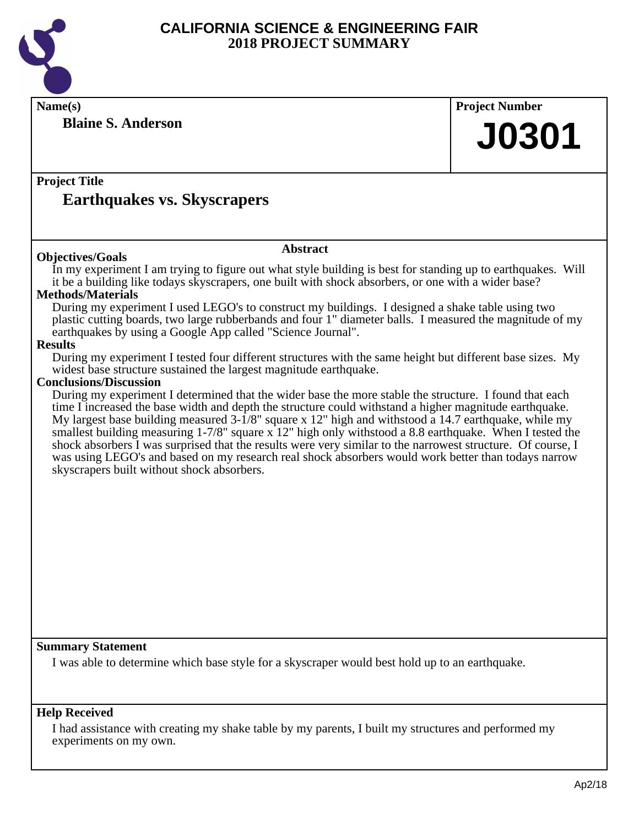

**Name(s) Project Number Project Title Abstract Summary Statement Blaine S. Anderson Earthquakes vs. Skyscrapers J0301 Objectives/Goals** In my experiment I am trying to figure out what style building is best for standing up to earthquakes. Will it be a building like todays skyscrapers, one built with shock absorbers, or one with a wider base? **Methods/Materials** During my experiment I used LEGO's to construct my buildings. I designed a shake table using two plastic cutting boards, two large rubberbands and four 1" diameter balls. I measured the magnitude of my earthquakes by using a Google App called "Science Journal". **Results** During my experiment I tested four different structures with the same height but different base sizes. My widest base structure sustained the largest magnitude earthquake. **Conclusions/Discussion** During my experiment I determined that the wider base the more stable the structure. I found that each time I increased the base width and depth the structure could withstand a higher magnitude earthquake. My largest base building measured 3-1/8" square x 12" high and withstood a 14.7 earthquake, while my smallest building measuring 1-7/8" square x 12" high only withstood a 8.8 earthquake. When I tested the shock absorbers I was surprised that the results were very similar to the narrowest structure. Of course, I was using LEGO's and based on my research real shock absorbers would work better than todays narrow skyscrapers built without shock absorbers. I was able to determine which base style for a skyscraper would best hold up to an earthquake.

### **Help Received**

I had assistance with creating my shake table by my parents, I built my structures and performed my experiments on my own.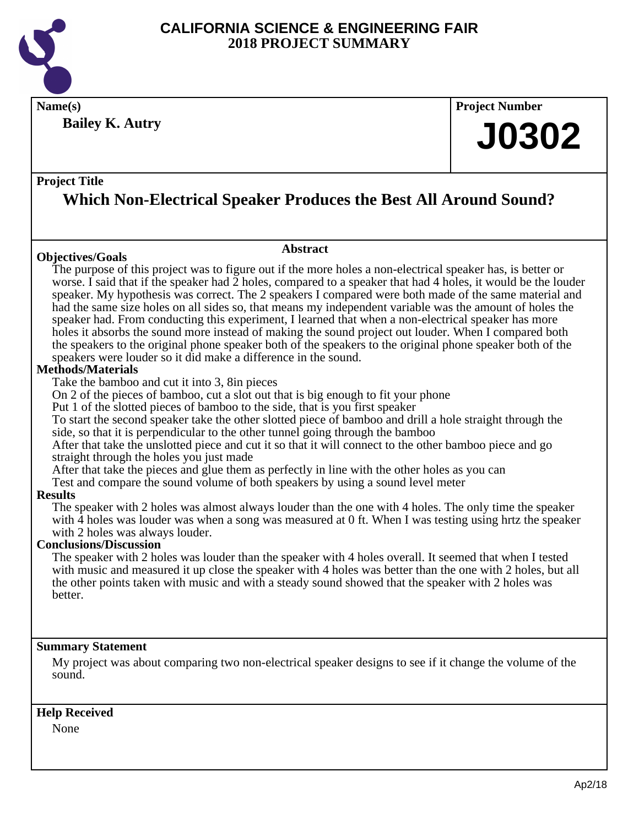

**Name(s) Project Number Bailey K. Autry**

### **Project Title**

# **Which Non-Electrical Speaker Produces the Best All Around Sound?**

### **Objectives/Goals**

### **Abstract**

The purpose of this project was to figure out if the more holes a non-electrical speaker has, is better or worse. I said that if the speaker had 2 holes, compared to a speaker that had 4 holes, it would be the louder speaker. My hypothesis was correct. The 2 speakers I compared were both made of the same material and had the same size holes on all sides so, that means my independent variable was the amount of holes the speaker had. From conducting this experiment, I learned that when a non-electrical speaker has more holes it absorbs the sound more instead of making the sound project out louder. When I compared both the speakers to the original phone speaker both of the speakers to the original phone speaker both of the speakers were louder so it did make a difference in the sound.

### **Methods/Materials**

Take the bamboo and cut it into 3, 8in pieces

On 2 of the pieces of bamboo, cut a slot out that is big enough to fit your phone

Put 1 of the slotted pieces of bamboo to the side, that is you first speaker

To start the second speaker take the other slotted piece of bamboo and drill a hole straight through the side, so that it is perpendicular to the other tunnel going through the bamboo

After that take the unslotted piece and cut it so that it will connect to the other bamboo piece and go straight through the holes you just made

After that take the pieces and glue them as perfectly in line with the other holes as you can

Test and compare the sound volume of both speakers by using a sound level meter

### **Results**

The speaker with 2 holes was almost always louder than the one with 4 holes. The only time the speaker with  $\overline{4}$  holes was louder was when a song was measured at 0 ft. When I was testing using hrtz the speaker with 2 holes was always louder.

### **Conclusions/Discussion**

The speaker with 2 holes was louder than the speaker with 4 holes overall. It seemed that when I tested with music and measured it up close the speaker with 4 holes was better than the one with 2 holes, but all the other points taken with music and with a steady sound showed that the speaker with 2 holes was better.

### **Summary Statement**

My project was about comparing two non-electrical speaker designs to see if it change the volume of the sound.

### **Help Received**

None

**J0302**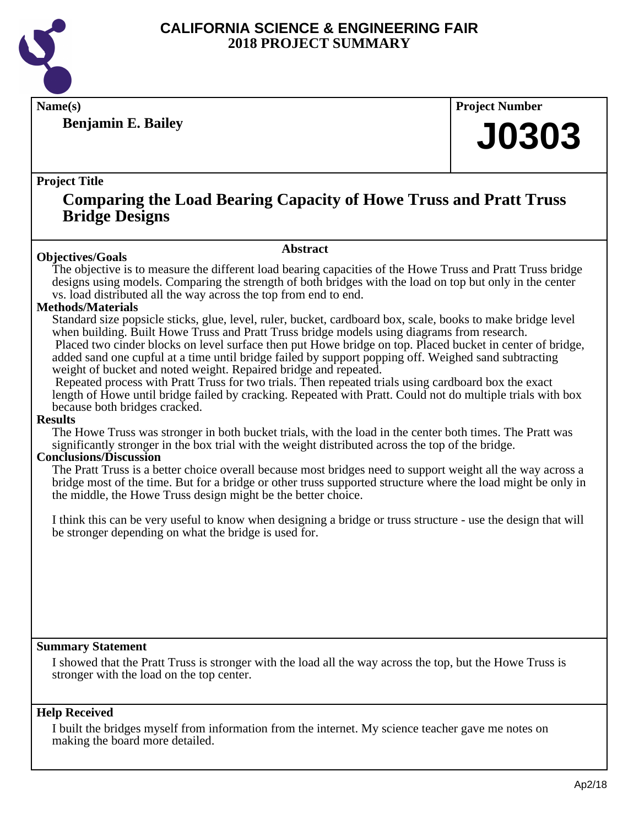

**Benjamin E. Bailey**

**Name(s) Project Number**

# **J0303**

### **Project Title**

# **Comparing the Load Bearing Capacity of Howe Truss and Pratt Truss Bridge Designs**

### **Abstract**

**Objectives/Goals** The objective is to measure the different load bearing capacities of the Howe Truss and Pratt Truss bridge designs using models. Comparing the strength of both bridges with the load on top but only in the center vs. load distributed all the way across the top from end to end.

### **Methods/Materials**

Standard size popsicle sticks, glue, level, ruler, bucket, cardboard box, scale, books to make bridge level when building. Built Howe Truss and Pratt Truss bridge models using diagrams from research. Placed two cinder blocks on level surface then put Howe bridge on top. Placed bucket in center of bridge, added sand one cupful at a time until bridge failed by support popping off. Weighed sand subtracting weight of bucket and noted weight. Repaired bridge and repeated.

 Repeated process with Pratt Truss for two trials. Then repeated trials using cardboard box the exact length of Howe until bridge failed by cracking. Repeated with Pratt. Could not do multiple trials with box because both bridges cracked.

### **Results**

The Howe Truss was stronger in both bucket trials, with the load in the center both times. The Pratt was significantly stronger in the box trial with the weight distributed across the top of the bridge.

### **Conclusions/Discussion**

The Pratt Truss is a better choice overall because most bridges need to support weight all the way across a bridge most of the time. But for a bridge or other truss supported structure where the load might be only in the middle, the Howe Truss design might be the better choice.

I think this can be very useful to know when designing a bridge or truss structure - use the design that will be stronger depending on what the bridge is used for.

### **Summary Statement**

I showed that the Pratt Truss is stronger with the load all the way across the top, but the Howe Truss is stronger with the load on the top center.

### **Help Received**

I built the bridges myself from information from the internet. My science teacher gave me notes on making the board more detailed.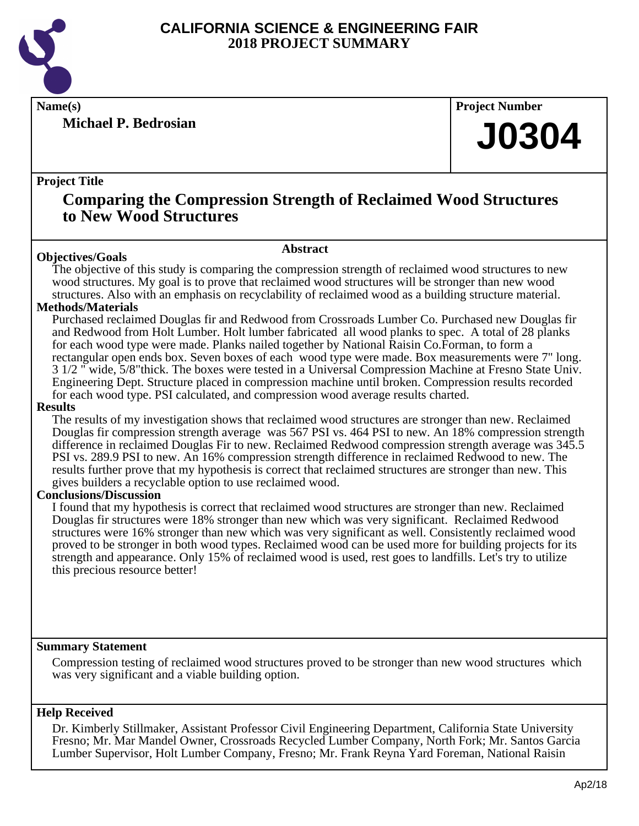

**Michael P. Bedrosian**

**Name(s) Project Number**

# **J0304**

### **Project Title**

# **Comparing the Compression Strength of Reclaimed Wood Structures to New Wood Structures**

### **Objectives/Goals**

**Abstract**

The objective of this study is comparing the compression strength of reclaimed wood structures to new wood structures. My goal is to prove that reclaimed wood structures will be stronger than new wood structures. Also with an emphasis on recyclability of reclaimed wood as a building structure material.

### **Methods/Materials**

Purchased reclaimed Douglas fir and Redwood from Crossroads Lumber Co. Purchased new Douglas fir and Redwood from Holt Lumber. Holt lumber fabricated all wood planks to spec. A total of 28 planks for each wood type were made. Planks nailed together by National Raisin Co.Forman, to form a rectangular open ends box. Seven boxes of each wood type were made. Box measurements were 7" long. 3 1/2 " wide, 5/8"thick. The boxes were tested in a Universal Compression Machine at Fresno State Univ. Engineering Dept. Structure placed in compression machine until broken. Compression results recorded for each wood type. PSI calculated, and compression wood average results charted.

### **Results**

The results of my investigation shows that reclaimed wood structures are stronger than new. Reclaimed Douglas fir compression strength average was 567 PSI vs. 464 PSI to new. An 18% compression strength difference in reclaimed Douglas Fir to new. Reclaimed Redwood compression strength average was 345.5 PSI vs. 289.9 PSI to new. An 16% compression strength difference in reclaimed Redwood to new. The results further prove that my hypothesis is correct that reclaimed structures are stronger than new. This gives builders a recyclable option to use reclaimed wood.

### **Conclusions/Discussion**

I found that my hypothesis is correct that reclaimed wood structures are stronger than new. Reclaimed Douglas fir structures were 18% stronger than new which was very significant. Reclaimed Redwood structures were 16% stronger than new which was very significant as well. Consistently reclaimed wood proved to be stronger in both wood types. Reclaimed wood can be used more for building projects for its strength and appearance. Only 15% of reclaimed wood is used, rest goes to landfills. Let's try to utilize this precious resource better!

### **Summary Statement**

Compression testing of reclaimed wood structures proved to be stronger than new wood structures which was very significant and a viable building option.

### **Help Received**

Dr. Kimberly Stillmaker, Assistant Professor Civil Engineering Department, California State University Fresno; Mr. Mar Mandel Owner, Crossroads Recycled Lumber Company, North Fork; Mr. Santos Garcia Lumber Supervisor, Holt Lumber Company, Fresno; Mr. Frank Reyna Yard Foreman, National Raisin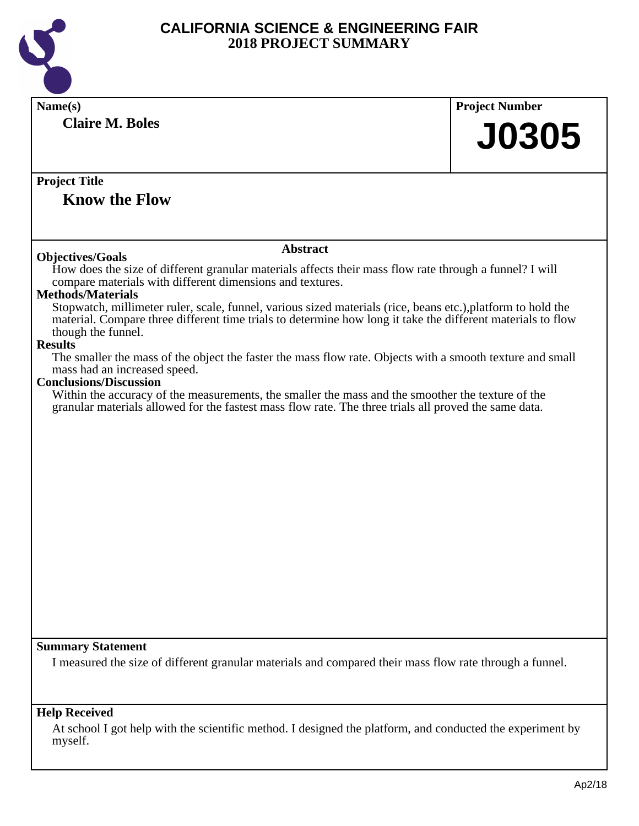

| Name(s)                                                                                                                                                                                                                                           | <b>Project Number</b> |
|---------------------------------------------------------------------------------------------------------------------------------------------------------------------------------------------------------------------------------------------------|-----------------------|
| <b>Claire M. Boles</b>                                                                                                                                                                                                                            |                       |
|                                                                                                                                                                                                                                                   | <b>J0305</b>          |
|                                                                                                                                                                                                                                                   |                       |
| <b>Project Title</b>                                                                                                                                                                                                                              |                       |
| <b>Know the Flow</b>                                                                                                                                                                                                                              |                       |
|                                                                                                                                                                                                                                                   |                       |
|                                                                                                                                                                                                                                                   |                       |
| <b>Abstract</b><br><b>Objectives/Goals</b>                                                                                                                                                                                                        |                       |
| How does the size of different granular materials affects their mass flow rate through a funnel? I will<br>compare materials with different dimensions and textures.                                                                              |                       |
| <b>Methods/Materials</b>                                                                                                                                                                                                                          |                       |
| Stopwatch, millimeter ruler, scale, funnel, various sized materials (rice, beans etc.), platform to hold the<br>material. Compare three different time trials to determine how long it take the different materials to flow<br>though the funnel. |                       |
| <b>Results</b>                                                                                                                                                                                                                                    |                       |
| The smaller the mass of the object the faster the mass flow rate. Objects with a smooth texture and small<br>mass had an increased speed.                                                                                                         |                       |
| <b>Conclusions/Discussion</b>                                                                                                                                                                                                                     |                       |
| Within the accuracy of the measurements, the smaller the mass and the smoother the texture of the<br>granular materials allowed for the fastest mass flow rate. The three trials all proved the same data.                                        |                       |
|                                                                                                                                                                                                                                                   |                       |
|                                                                                                                                                                                                                                                   |                       |
|                                                                                                                                                                                                                                                   |                       |
|                                                                                                                                                                                                                                                   |                       |
|                                                                                                                                                                                                                                                   |                       |
|                                                                                                                                                                                                                                                   |                       |
|                                                                                                                                                                                                                                                   |                       |
|                                                                                                                                                                                                                                                   |                       |
|                                                                                                                                                                                                                                                   |                       |
|                                                                                                                                                                                                                                                   |                       |
|                                                                                                                                                                                                                                                   |                       |
|                                                                                                                                                                                                                                                   |                       |
| <b>Summary Statement</b>                                                                                                                                                                                                                          |                       |
| I measured the size of different granular materials and compared their mass flow rate through a funnel.                                                                                                                                           |                       |
|                                                                                                                                                                                                                                                   |                       |
|                                                                                                                                                                                                                                                   |                       |
| <b>Help Received</b>                                                                                                                                                                                                                              |                       |
| At school I got help with the scientific method. I designed the platform, and conducted the experiment by<br>myself.                                                                                                                              |                       |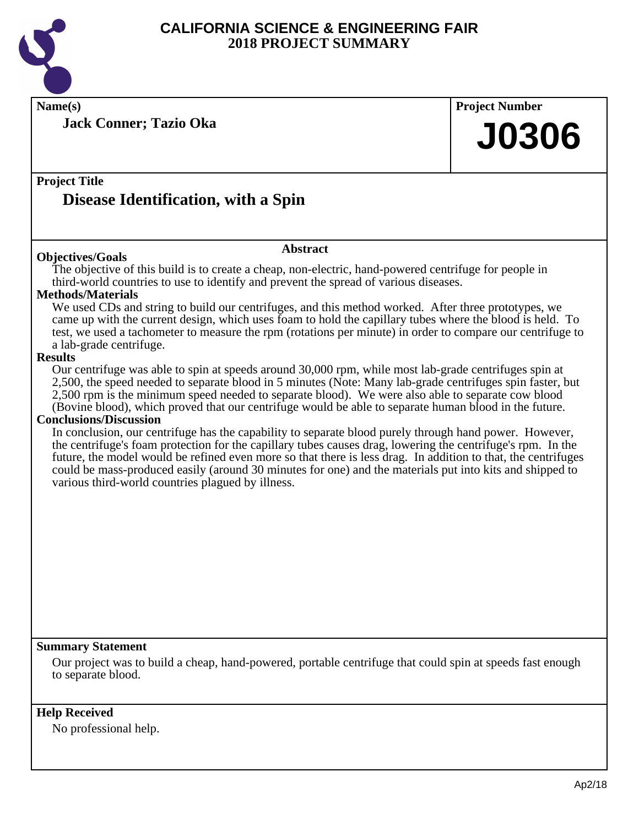

**Jack Conner; Tazio Oka**

**Name(s) Project Number**

# **J0306**

## **Project Title**

# **Disease Identification, with a Spin**

### **Objectives/Goals**

### **Abstract**

The objective of this build is to create a cheap, non-electric, hand-powered centrifuge for people in third-world countries to use to identify and prevent the spread of various diseases.

### **Methods/Materials**

We used CDs and string to build our centrifuges, and this method worked. After three prototypes, we came up with the current design, which uses foam to hold the capillary tubes where the blood is held. To test, we used a tachometer to measure the rpm (rotations per minute) in order to compare our centrifuge to a lab-grade centrifuge.

### **Results**

Our centrifuge was able to spin at speeds around 30,000 rpm, while most lab-grade centrifuges spin at 2,500, the speed needed to separate blood in 5 minutes (Note: Many lab-grade centrifuges spin faster, but 2,500 rpm is the minimum speed needed to separate blood). We were also able to separate cow blood (Bovine blood), which proved that our centrifuge would be able to separate human blood in the future.

### **Conclusions/Discussion**

In conclusion, our centrifuge has the capability to separate blood purely through hand power. However, the centrifuge's foam protection for the capillary tubes causes drag, lowering the centrifuge's rpm. In the future, the model would be refined even more so that there is less drag. In addition to that, the centrifuges could be mass-produced easily (around 30 minutes for one) and the materials put into kits and shipped to various third-world countries plagued by illness.

### **Summary Statement**

Our project was to build a cheap, hand-powered, portable centrifuge that could spin at speeds fast enough to separate blood.

### **Help Received**

No professional help.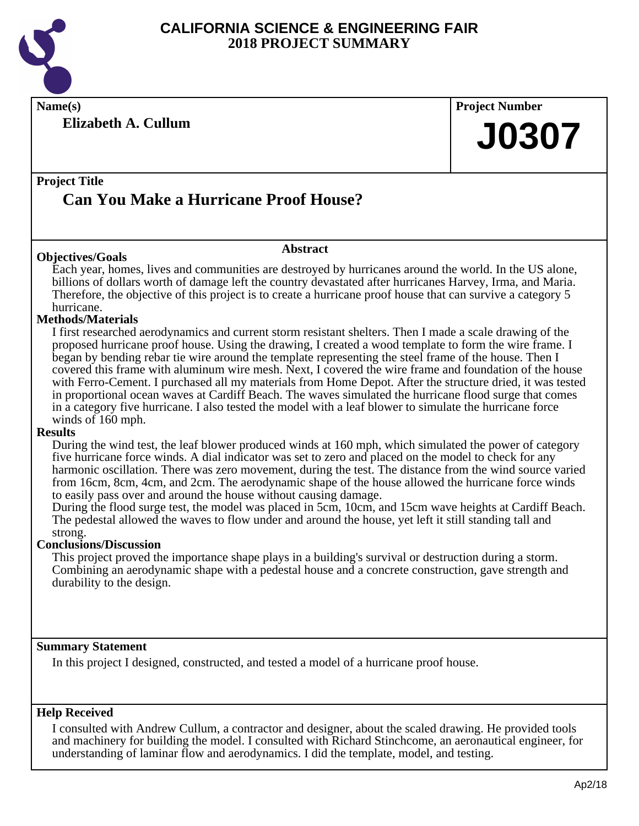

**Name(s) Project Number**

**Elizabeth A. Cullum**

# **J0307**

# **Project Title Can You Make a Hurricane Proof House?**

### **Abstract**

**Objectives/Goals** Each year, homes, lives and communities are destroyed by hurricanes around the world. In the US alone, billions of dollars worth of damage left the country devastated after hurricanes Harvey, Irma, and Maria. Therefore, the objective of this project is to create a hurricane proof house that can survive a category 5 hurricane.

### **Methods/Materials**

I first researched aerodynamics and current storm resistant shelters. Then I made a scale drawing of the proposed hurricane proof house. Using the drawing, I created a wood template to form the wire frame. I began by bending rebar tie wire around the template representing the steel frame of the house. Then I covered this frame with aluminum wire mesh. Next, I covered the wire frame and foundation of the house with Ferro-Cement. I purchased all my materials from Home Depot. After the structure dried, it was tested in proportional ocean waves at Cardiff Beach. The waves simulated the hurricane flood surge that comes in a category five hurricane. I also tested the model with a leaf blower to simulate the hurricane force winds of 160 mph.

### **Results**

During the wind test, the leaf blower produced winds at 160 mph, which simulated the power of category five hurricane force winds. A dial indicator was set to zero and placed on the model to check for any harmonic oscillation. There was zero movement, during the test. The distance from the wind source varied from 16cm, 8cm, 4cm, and 2cm. The aerodynamic shape of the house allowed the hurricane force winds to easily pass over and around the house without causing damage.

During the flood surge test, the model was placed in 5cm, 10cm, and 15cm wave heights at Cardiff Beach. The pedestal allowed the waves to flow under and around the house, yet left it still standing tall and strong.

### **Conclusions/Discussion**

This project proved the importance shape plays in a building's survival or destruction during a storm. Combining an aerodynamic shape with a pedestal house and a concrete construction, gave strength and durability to the design.

### **Summary Statement**

In this project I designed, constructed, and tested a model of a hurricane proof house.

### **Help Received**

I consulted with Andrew Cullum, a contractor and designer, about the scaled drawing. He provided tools and machinery for building the model. I consulted with Richard Stinchcome, an aeronautical engineer, for understanding of laminar flow and aerodynamics. I did the template, model, and testing.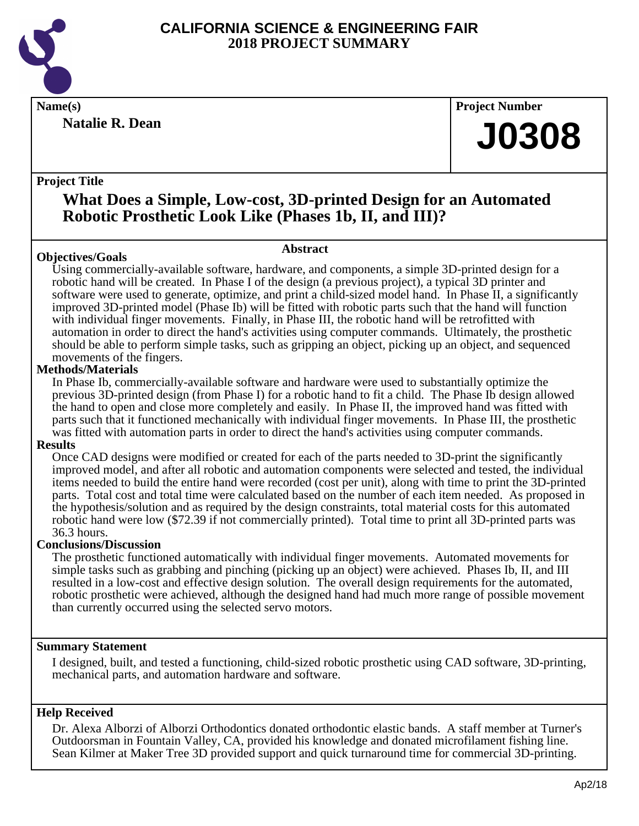

**Natalie R. Dean**

**Name(s) Project Number**

# **J0308**

### **Project Title**

# **What Does a Simple, Low-cost, 3D-printed Design for an Automated Robotic Prosthetic Look Like (Phases 1b, II, and III)?**

### **Objectives/Goals**

### **Abstract**

Using commercially-available software, hardware, and components, a simple 3D-printed design for a robotic hand will be created. In Phase I of the design (a previous project), a typical 3D printer and software were used to generate, optimize, and print a child-sized model hand. In Phase II, a significantly improved 3D-printed model (Phase Ib) will be fitted with robotic parts such that the hand will function with individual finger movements. Finally, in Phase III, the robotic hand will be retrofitted with automation in order to direct the hand's activities using computer commands. Ultimately, the prosthetic should be able to perform simple tasks, such as gripping an object, picking up an object, and sequenced movements of the fingers.

### **Methods/Materials**

In Phase Ib, commercially-available software and hardware were used to substantially optimize the previous 3D-printed design (from Phase I) for a robotic hand to fit a child. The Phase Ib design allowed the hand to open and close more completely and easily. In Phase II, the improved hand was fitted with parts such that it functioned mechanically with individual finger movements. In Phase III, the prosthetic was fitted with automation parts in order to direct the hand's activities using computer commands.

### **Results**

Once CAD designs were modified or created for each of the parts needed to 3D-print the significantly improved model, and after all robotic and automation components were selected and tested, the individual items needed to build the entire hand were recorded (cost per unit), along with time to print the 3D-printed parts. Total cost and total time were calculated based on the number of each item needed. As proposed in the hypothesis/solution and as required by the design constraints, total material costs for this automated robotic hand were low (\$72.39 if not commercially printed). Total time to print all 3D-printed parts was 36.3 hours.

### **Conclusions/Discussion**

The prosthetic functioned automatically with individual finger movements. Automated movements for simple tasks such as grabbing and pinching (picking up an object) were achieved. Phases Ib, II, and III resulted in a low-cost and effective design solution. The overall design requirements for the automated, robotic prosthetic were achieved, although the designed hand had much more range of possible movement than currently occurred using the selected servo motors.

### **Summary Statement**

I designed, built, and tested a functioning, child-sized robotic prosthetic using CAD software, 3D-printing, mechanical parts, and automation hardware and software.

### **Help Received**

Dr. Alexa Alborzi of Alborzi Orthodontics donated orthodontic elastic bands. A staff member at Turner's Outdoorsman in Fountain Valley, CA, provided his knowledge and donated microfilament fishing line. Sean Kilmer at Maker Tree 3D provided support and quick turnaround time for commercial 3D-printing.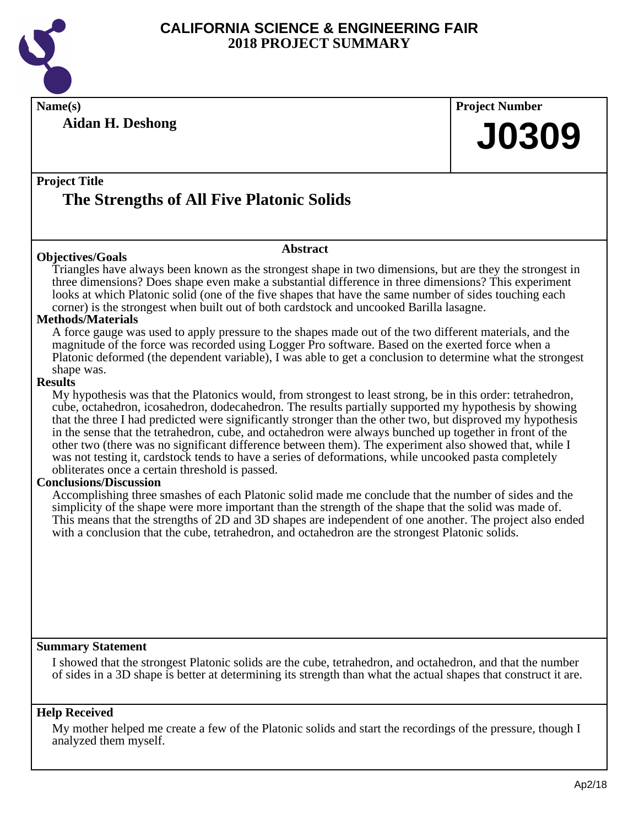

**Name(s) Project Number**

**Aidan H. Deshong**

**J0309**

### **Project Title**

# **The Strengths of All Five Platonic Solids**

### **Objectives/Goals**

### **Abstract**

Triangles have always been known as the strongest shape in two dimensions, but are they the strongest in three dimensions? Does shape even make a substantial difference in three dimensions? This experiment looks at which Platonic solid (one of the five shapes that have the same number of sides touching each corner) is the strongest when built out of both cardstock and uncooked Barilla lasagne.

### **Methods/Materials**

A force gauge was used to apply pressure to the shapes made out of the two different materials, and the magnitude of the force was recorded using Logger Pro software. Based on the exerted force when a Platonic deformed (the dependent variable), I was able to get a conclusion to determine what the strongest shape was.

### **Results**

My hypothesis was that the Platonics would, from strongest to least strong, be in this order: tetrahedron, cube, octahedron, icosahedron, dodecahedron. The results partially supported my hypothesis by showing that the three I had predicted were significantly stronger than the other two, but disproved my hypothesis in the sense that the tetrahedron, cube, and octahedron were always bunched up together in front of the other two (there was no significant difference between them). The experiment also showed that, while I was not testing it, cardstock tends to have a series of deformations, while uncooked pasta completely obliterates once a certain threshold is passed.

### **Conclusions/Discussion**

Accomplishing three smashes of each Platonic solid made me conclude that the number of sides and the simplicity of the shape were more important than the strength of the shape that the solid was made of. This means that the strengths of 2D and 3D shapes are independent of one another. The project also ended with a conclusion that the cube, tetrahedron, and octahedron are the strongest Platonic solids.

### **Summary Statement**

I showed that the strongest Platonic solids are the cube, tetrahedron, and octahedron, and that the number of sides in a 3D shape is better at determining its strength than what the actual shapes that construct it are.

### **Help Received**

My mother helped me create a few of the Platonic solids and start the recordings of the pressure, though I analyzed them myself.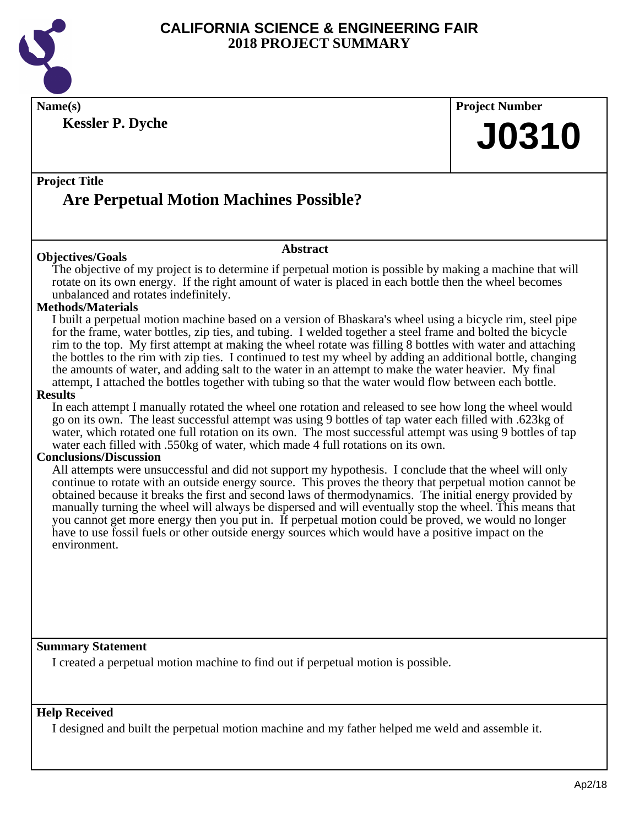

**Name(s) Project Number**

**Kessler P. Dyche**

**J0310**

### **Project Title**

# **Are Perpetual Motion Machines Possible?**

### **Objectives/Goals**

**Abstract**

The objective of my project is to determine if perpetual motion is possible by making a machine that will rotate on its own energy. If the right amount of water is placed in each bottle then the wheel becomes unbalanced and rotates indefinitely.

### **Methods/Materials**

I built a perpetual motion machine based on a version of Bhaskara's wheel using a bicycle rim, steel pipe for the frame, water bottles, zip ties, and tubing. I welded together a steel frame and bolted the bicycle rim to the top. My first attempt at making the wheel rotate was filling 8 bottles with water and attaching the bottles to the rim with zip ties. I continued to test my wheel by adding an additional bottle, changing the amounts of water, and adding salt to the water in an attempt to make the water heavier. My final attempt, I attached the bottles together with tubing so that the water would flow between each bottle.

### **Results**

In each attempt I manually rotated the wheel one rotation and released to see how long the wheel would go on its own. The least successful attempt was using 9 bottles of tap water each filled with .623kg of water, which rotated one full rotation on its own. The most successful attempt was using 9 bottles of tap water each filled with .550kg of water, which made 4 full rotations on its own.

### **Conclusions/Discussion**

All attempts were unsuccessful and did not support my hypothesis. I conclude that the wheel will only continue to rotate with an outside energy source. This proves the theory that perpetual motion cannot be obtained because it breaks the first and second laws of thermodynamics. The initial energy provided by manually turning the wheel will always be dispersed and will eventually stop the wheel. This means that you cannot get more energy then you put in. If perpetual motion could be proved, we would no longer have to use fossil fuels or other outside energy sources which would have a positive impact on the environment.

### **Summary Statement**

I created a perpetual motion machine to find out if perpetual motion is possible.

### **Help Received**

I designed and built the perpetual motion machine and my father helped me weld and assemble it.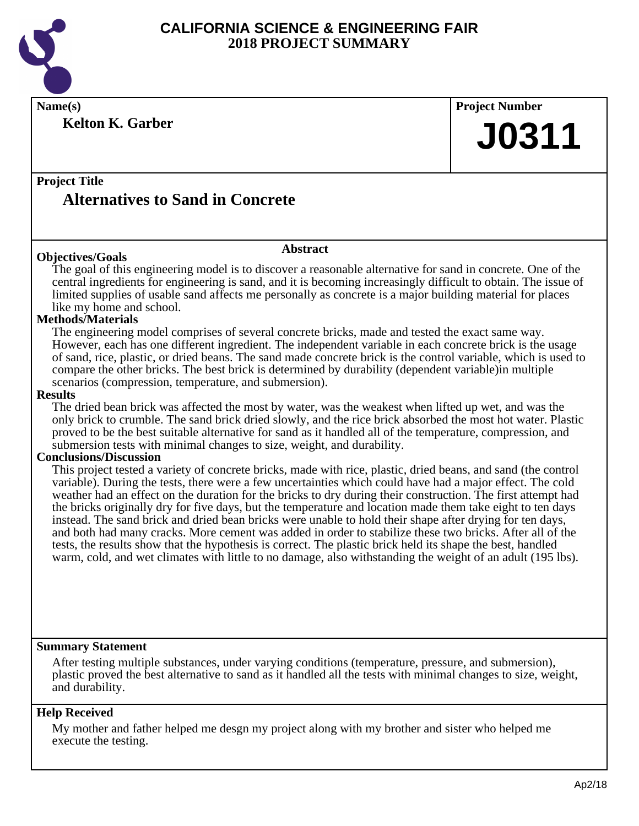

**Kelton K. Garber**

**Name(s) Project Number J0311**

# **Project Title Alternatives to Sand in Concrete**

### **Objectives/Goals**

The goal of this engineering model is to discover a reasonable alternative for sand in concrete. One of the central ingredients for engineering is sand, and it is becoming increasingly difficult to obtain. The issue of limited supplies of usable sand affects me personally as concrete is a major building material for places like my home and school.

**Abstract**

### **Methods/Materials**

The engineering model comprises of several concrete bricks, made and tested the exact same way. However, each has one different ingredient. The independent variable in each concrete brick is the usage of sand, rice, plastic, or dried beans. The sand made concrete brick is the control variable, which is used to compare the other bricks. The best brick is determined by durability (dependent variable)in multiple scenarios (compression, temperature, and submersion).

#### **Results**

The dried bean brick was affected the most by water, was the weakest when lifted up wet, and was the only brick to crumble. The sand brick dried slowly, and the rice brick absorbed the most hot water. Plastic proved to be the best suitable alternative for sand as it handled all of the temperature, compression, and submersion tests with minimal changes to size, weight, and durability.

### **Conclusions/Discussion**

This project tested a variety of concrete bricks, made with rice, plastic, dried beans, and sand (the control variable). During the tests, there were a few uncertainties which could have had a major effect. The cold weather had an effect on the duration for the bricks to dry during their construction. The first attempt had the bricks originally dry for five days, but the temperature and location made them take eight to ten days instead. The sand brick and dried bean bricks were unable to hold their shape after drying for ten days, and both had many cracks. More cement was added in order to stabilize these two bricks. After all of the tests, the results show that the hypothesis is correct. The plastic brick held its shape the best, handled warm, cold, and wet climates with little to no damage, also withstanding the weight of an adult (195 lbs).

### **Summary Statement**

After testing multiple substances, under varying conditions (temperature, pressure, and submersion), plastic proved the best alternative to sand as it handled all the tests with minimal changes to size, weight, and durability.

### **Help Received**

My mother and father helped me desgn my project along with my brother and sister who helped me execute the testing.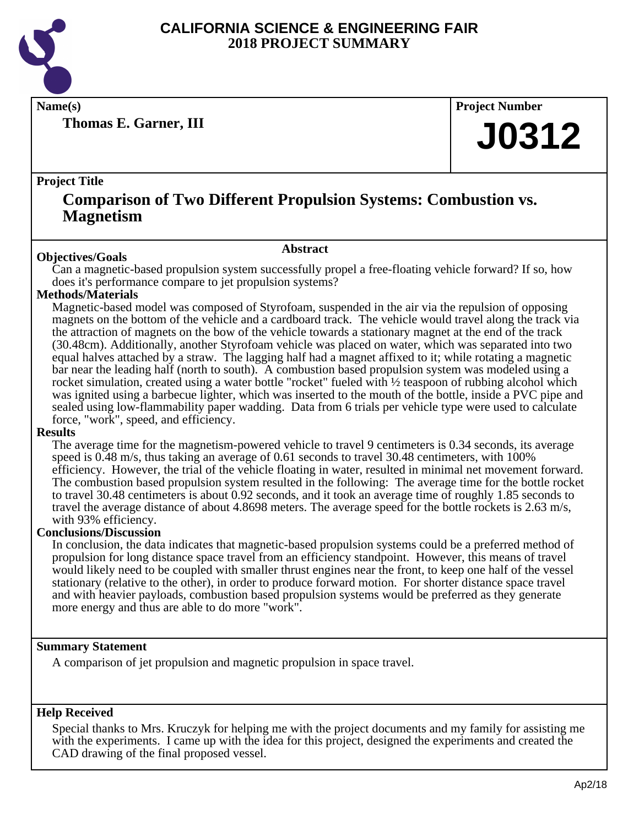

**Thomas E. Garner, III**

**Name(s) Project Number**

# **J0312**

### **Project Title**

# **Comparison of Two Different Propulsion Systems: Combustion vs. Magnetism**

### **Abstract**

**Objectives/Goals** Can a magnetic-based propulsion system successfully propel a free-floating vehicle forward? If so, how does it's performance compare to jet propulsion systems?

### **Methods/Materials**

Magnetic-based model was composed of Styrofoam, suspended in the air via the repulsion of opposing magnets on the bottom of the vehicle and a cardboard track. The vehicle would travel along the track via the attraction of magnets on the bow of the vehicle towards a stationary magnet at the end of the track (30.48cm). Additionally, another Styrofoam vehicle was placed on water, which was separated into two equal halves attached by a straw. The lagging half had a magnet affixed to it; while rotating a magnetic bar near the leading half (north to south). A combustion based propulsion system was modeled using a rocket simulation, created using a water bottle "rocket" fueled with ½ teaspoon of rubbing alcohol which was ignited using a barbecue lighter, which was inserted to the mouth of the bottle, inside a PVC pipe and sealed using low-flammability paper wadding. Data from 6 trials per vehicle type were used to calculate force, "work", speed, and efficiency.

### **Results**

The average time for the magnetism-powered vehicle to travel 9 centimeters is 0.34 seconds, its average speed is 0.48 m/s, thus taking an average of 0.61 seconds to travel 30.48 centimeters, with 100% efficiency. However, the trial of the vehicle floating in water, resulted in minimal net movement forward. The combustion based propulsion system resulted in the following: The average time for the bottle rocket to travel 30.48 centimeters is about 0.92 seconds, and it took an average time of roughly 1.85 seconds to travel the average distance of about 4.8698 meters. The average speed for the bottle rockets is 2.63 m/s, with 93% efficiency.

### **Conclusions/Discussion**

In conclusion, the data indicates that magnetic-based propulsion systems could be a preferred method of propulsion for long distance space travel from an efficiency standpoint. However, this means of travel would likely need to be coupled with smaller thrust engines near the front, to keep one half of the vessel stationary (relative to the other), in order to produce forward motion. For shorter distance space travel and with heavier payloads, combustion based propulsion systems would be preferred as they generate more energy and thus are able to do more "work".

### **Summary Statement**

A comparison of jet propulsion and magnetic propulsion in space travel.

### **Help Received**

Special thanks to Mrs. Kruczyk for helping me with the project documents and my family for assisting me with the experiments. I came up with the idea for this project, designed the experiments and created the CAD drawing of the final proposed vessel.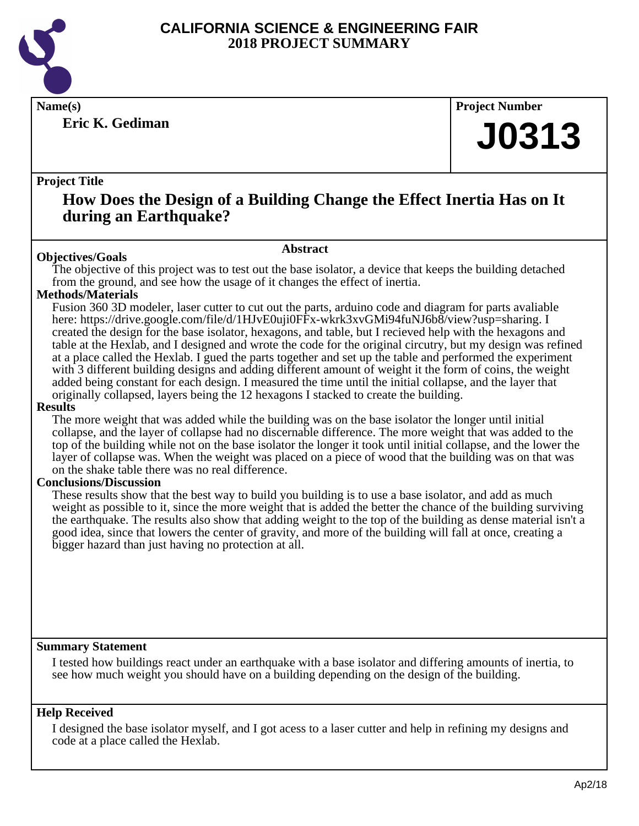

**Eric K. Gediman**

**Name(s) Project Number**

# **J0313**

### **Project Title**

# **How Does the Design of a Building Change the Effect Inertia Has on It during an Earthquake?**

### **Abstract**

**Objectives/Goals** The objective of this project was to test out the base isolator, a device that keeps the building detached from the ground, and see how the usage of it changes the effect of inertia.

### **Methods/Materials**

Fusion 360 3D modeler, laser cutter to cut out the parts, arduino code and diagram for parts avaliable here: https://drive.google.com/file/d/1HJvE0uji0FFx-wkrk3xvGMi94fuNJ6b8/view?usp=sharing. I created the design for the base isolator, hexagons, and table, but I recieved help with the hexagons and table at the Hexlab, and I designed and wrote the code for the original circutry, but my design was refined at a place called the Hexlab. I gued the parts together and set up the table and performed the experiment with 3 different building designs and adding different amount of weight it the form of coins, the weight added being constant for each design. I measured the time until the initial collapse, and the layer that originally collapsed, layers being the 12 hexagons I stacked to create the building.

### **Results**

The more weight that was added while the building was on the base isolator the longer until initial collapse, and the layer of collapse had no discernable difference. The more weight that was added to the top of the building while not on the base isolator the longer it took until initial collapse, and the lower the layer of collapse was. When the weight was placed on a piece of wood that the building was on that was on the shake table there was no real difference.

### **Conclusions/Discussion**

These results show that the best way to build you building is to use a base isolator, and add as much weight as possible to it, since the more weight that is added the better the chance of the building surviving the earthquake. The results also show that adding weight to the top of the building as dense material isn't a good idea, since that lowers the center of gravity, and more of the building will fall at once, creating a bigger hazard than just having no protection at all.

### **Summary Statement**

I tested how buildings react under an earthquake with a base isolator and differing amounts of inertia, to see how much weight you should have on a building depending on the design of the building.

### **Help Received**

I designed the base isolator myself, and I got acess to a laser cutter and help in refining my designs and code at a place called the Hexlab.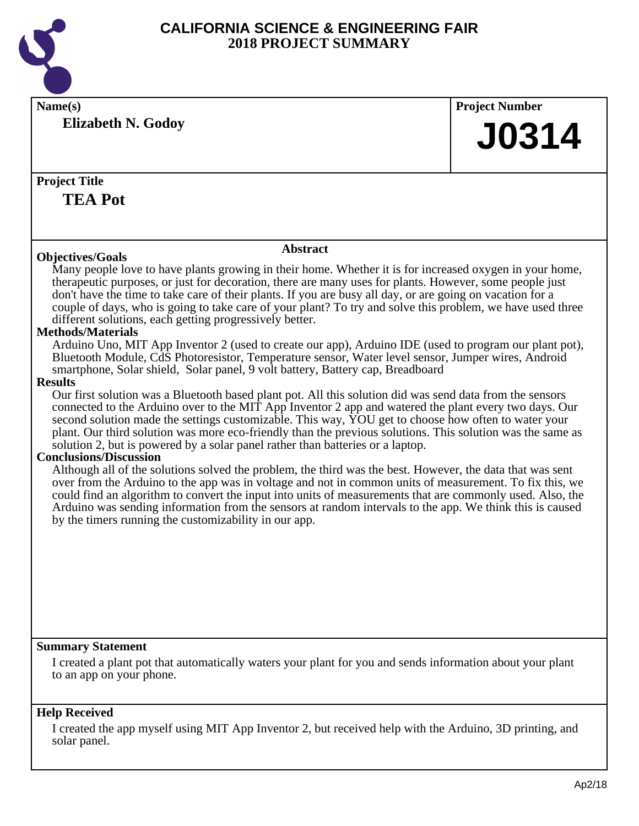

| Name(s)                                                                                                                                                                                                            | <b>Project Number</b> |
|--------------------------------------------------------------------------------------------------------------------------------------------------------------------------------------------------------------------|-----------------------|
| <b>Elizabeth N. Godoy</b>                                                                                                                                                                                          |                       |
|                                                                                                                                                                                                                    | <b>J0314</b>          |
|                                                                                                                                                                                                                    |                       |
| <b>Project Title</b>                                                                                                                                                                                               |                       |
| <b>TEA Pot</b>                                                                                                                                                                                                     |                       |
|                                                                                                                                                                                                                    |                       |
|                                                                                                                                                                                                                    |                       |
| <b>Abstract</b>                                                                                                                                                                                                    |                       |
| <b>Objectives/Goals</b>                                                                                                                                                                                            |                       |
| Many people love to have plants growing in their home. Whether it is for increased oxygen in your home,<br>therapeutic purposes, or just for decoration, there are many uses for plants. However, some people just |                       |
| don't have the time to take care of their plants. If you are busy all day, or are going on vacation for a                                                                                                          |                       |
| couple of days, who is going to take care of your plant? To try and solve this problem, we have used three                                                                                                         |                       |
| different solutions, each getting progressively better.                                                                                                                                                            |                       |
| <b>Methods/Materials</b><br>Arduino Uno, MIT App Inventor 2 (used to create our app), Arduino IDE (used to program our plant pot),                                                                                 |                       |
| Bluetooth Module, CdS Photoresistor, Temperature sensor, Water level sensor, Jumper wires, Android                                                                                                                 |                       |
| smartphone, Solar shield, Solar panel, 9 volt battery, Battery cap, Breadboard                                                                                                                                     |                       |
| <b>Results</b>                                                                                                                                                                                                     |                       |
| Our first solution was a Bluetooth based plant pot. All this solution did was send data from the sensors                                                                                                           |                       |
| connected to the Arduino over to the MIT App Inventor 2 app and watered the plant every two days. Our<br>second solution made the settings customizable. This way, YOU get to choose how often to water your       |                       |
| plant. Our third solution was more eco-friendly than the previous solutions. This solution was the same as                                                                                                         |                       |
| solution 2, but is powered by a solar panel rather than batteries or a laptop.                                                                                                                                     |                       |
| <b>Conclusions/Discussion</b><br>Although all of the solutions solved the problem, the third was the best. However, the data that was sent                                                                         |                       |
| over from the Arduino to the app was in voltage and not in common units of measurement. To fix this, we                                                                                                            |                       |
| could find an algorithm to convert the input into units of measurements that are commonly used. Also, the                                                                                                          |                       |
| Arduino was sending information from the sensors at random intervals to the app. We think this is caused                                                                                                           |                       |
| by the timers running the customizability in our app.                                                                                                                                                              |                       |
|                                                                                                                                                                                                                    |                       |
|                                                                                                                                                                                                                    |                       |
|                                                                                                                                                                                                                    |                       |
|                                                                                                                                                                                                                    |                       |
|                                                                                                                                                                                                                    |                       |
|                                                                                                                                                                                                                    |                       |
|                                                                                                                                                                                                                    |                       |
| <b>Summary Statement</b>                                                                                                                                                                                           |                       |
| I created a plant pot that automatically waters your plant for you and sends information about your plant<br>to an app on your phone.                                                                              |                       |
|                                                                                                                                                                                                                    |                       |
|                                                                                                                                                                                                                    |                       |
| <b>Help Received</b>                                                                                                                                                                                               |                       |

I created the app myself using MIT App Inventor 2, but received help with the Arduino, 3D printing, and solar panel.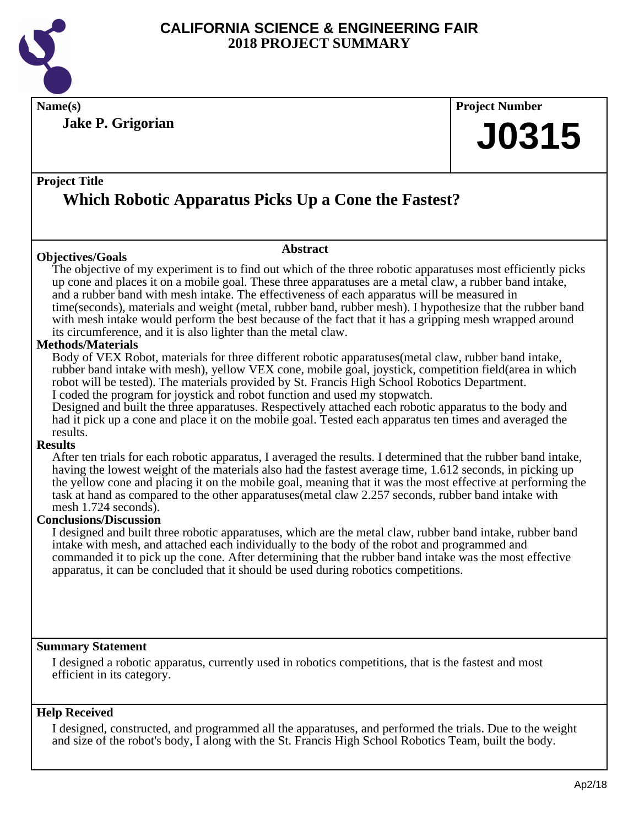

**Name(s) Project Number Jake P. Grigorian**

# **J0315**

# **Project Title Which Robotic Apparatus Picks Up a Cone the Fastest?**

### **Objectives/Goals**

# **Abstract**

The objective of my experiment is to find out which of the three robotic apparatuses most efficiently picks up cone and places it on a mobile goal. These three apparatuses are a metal claw, a rubber band intake, and a rubber band with mesh intake. The effectiveness of each apparatus will be measured in time(seconds), materials and weight (metal, rubber band, rubber mesh). I hypothesize that the rubber band with mesh intake would perform the best because of the fact that it has a gripping mesh wrapped around its circumference, and it is also lighter than the metal claw.

### **Methods/Materials**

Body of VEX Robot, materials for three different robotic apparatuses(metal claw, rubber band intake, rubber band intake with mesh), yellow VEX cone, mobile goal, joystick, competition field(area in which robot will be tested). The materials provided by St. Francis High School Robotics Department. I coded the program for joystick and robot function and used my stopwatch.

Designed and built the three apparatuses. Respectively attached each robotic apparatus to the body and had it pick up a cone and place it on the mobile goal. Tested each apparatus ten times and averaged the results.

### **Results**

After ten trials for each robotic apparatus, I averaged the results. I determined that the rubber band intake, having the lowest weight of the materials also had the fastest average time, 1.612 seconds, in picking up the yellow cone and placing it on the mobile goal, meaning that it was the most effective at performing the task at hand as compared to the other apparatuses(metal claw 2.257 seconds, rubber band intake with mesh 1.724 seconds).

### **Conclusions/Discussion**

I designed and built three robotic apparatuses, which are the metal claw, rubber band intake, rubber band intake with mesh, and attached each individually to the body of the robot and programmed and commanded it to pick up the cone. After determining that the rubber band intake was the most effective apparatus, it can be concluded that it should be used during robotics competitions.

### **Summary Statement**

I designed a robotic apparatus, currently used in robotics competitions, that is the fastest and most efficient in its category.

### **Help Received**

I designed, constructed, and programmed all the apparatuses, and performed the trials. Due to the weight and size of the robot's body, I along with the St. Francis High School Robotics Team, built the body.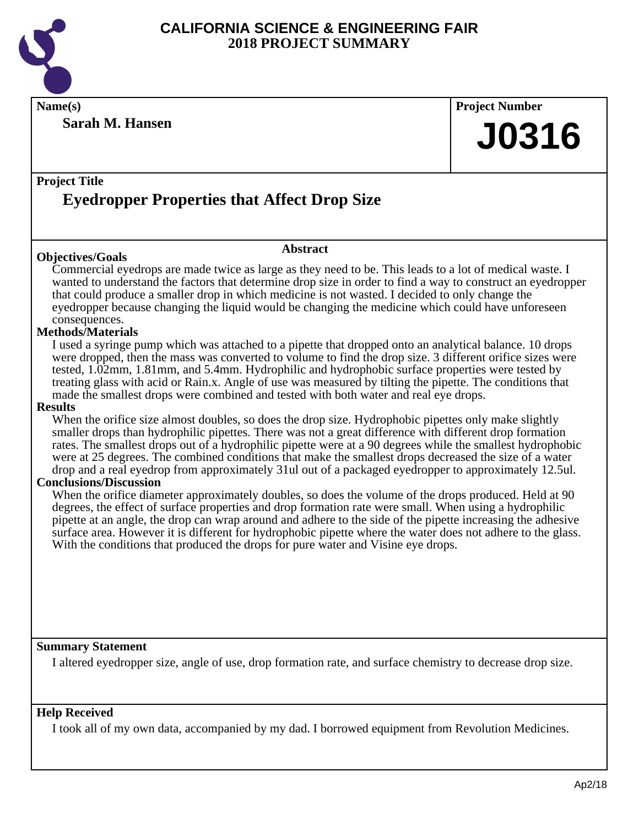

**Name(s) Project Number**

**Sarah M. Hansen**

**J0316**

# **Project Title Eyedropper Properties that Affect Drop Size**

### **Objectives/Goals**

Commercial eyedrops are made twice as large as they need to be. This leads to a lot of medical waste. I wanted to understand the factors that determine drop size in order to find a way to construct an eyedropper that could produce a smaller drop in which medicine is not wasted. I decided to only change the eyedropper because changing the liquid would be changing the medicine which could have unforeseen consequences.

**Abstract**

### **Methods/Materials**

I used a syringe pump which was attached to a pipette that dropped onto an analytical balance. 10 drops were dropped, then the mass was converted to volume to find the drop size. 3 different orifice sizes were tested, 1.02mm, 1.81mm, and 5.4mm. Hydrophilic and hydrophobic surface properties were tested by treating glass with acid or Rain.x. Angle of use was measured by tilting the pipette. The conditions that made the smallest drops were combined and tested with both water and real eye drops.

### **Results**

When the orifice size almost doubles, so does the drop size. Hydrophobic pipettes only make slightly smaller drops than hydrophilic pipettes. There was not a great difference with different drop formation rates. The smallest drops out of a hydrophilic pipette were at a 90 degrees while the smallest hydrophobic were at 25 degrees. The combined conditions that make the smallest drops decreased the size of a water drop and a real eyedrop from approximately 31ul out of a packaged eyedropper to approximately 12.5ul.

### **Conclusions/Discussion**

When the orifice diameter approximately doubles, so does the volume of the drops produced. Held at 90 degrees, the effect of surface properties and drop formation rate were small. When using a hydrophilic pipette at an angle, the drop can wrap around and adhere to the side of the pipette increasing the adhesive surface area. However it is different for hydrophobic pipette where the water does not adhere to the glass. With the conditions that produced the drops for pure water and Visine eye drops.

### **Summary Statement**

I altered eyedropper size, angle of use, drop formation rate, and surface chemistry to decrease drop size.

### **Help Received**

I took all of my own data, accompanied by my dad. I borrowed equipment from Revolution Medicines.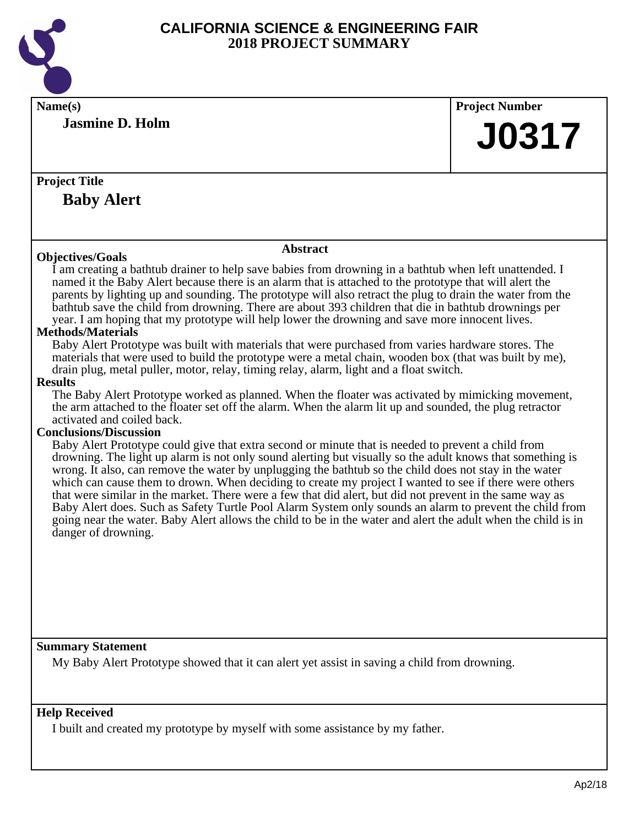

| Name(s)                                                                                                                                                                                                                                                                                                                                                                                                                                                                                                                                                                                                                                                                                                                                                                                                                                                                                                                                                                                                                                                                                                                                                                                                                                                                                                                                                                                                                                                                                                                                                                                                                 | <b>Project Number</b> |
|-------------------------------------------------------------------------------------------------------------------------------------------------------------------------------------------------------------------------------------------------------------------------------------------------------------------------------------------------------------------------------------------------------------------------------------------------------------------------------------------------------------------------------------------------------------------------------------------------------------------------------------------------------------------------------------------------------------------------------------------------------------------------------------------------------------------------------------------------------------------------------------------------------------------------------------------------------------------------------------------------------------------------------------------------------------------------------------------------------------------------------------------------------------------------------------------------------------------------------------------------------------------------------------------------------------------------------------------------------------------------------------------------------------------------------------------------------------------------------------------------------------------------------------------------------------------------------------------------------------------------|-----------------------|
| <b>Jasmine D. Holm</b>                                                                                                                                                                                                                                                                                                                                                                                                                                                                                                                                                                                                                                                                                                                                                                                                                                                                                                                                                                                                                                                                                                                                                                                                                                                                                                                                                                                                                                                                                                                                                                                                  | <b>J0317</b>          |
|                                                                                                                                                                                                                                                                                                                                                                                                                                                                                                                                                                                                                                                                                                                                                                                                                                                                                                                                                                                                                                                                                                                                                                                                                                                                                                                                                                                                                                                                                                                                                                                                                         |                       |
| <b>Project Title</b>                                                                                                                                                                                                                                                                                                                                                                                                                                                                                                                                                                                                                                                                                                                                                                                                                                                                                                                                                                                                                                                                                                                                                                                                                                                                                                                                                                                                                                                                                                                                                                                                    |                       |
| <b>Baby Alert</b>                                                                                                                                                                                                                                                                                                                                                                                                                                                                                                                                                                                                                                                                                                                                                                                                                                                                                                                                                                                                                                                                                                                                                                                                                                                                                                                                                                                                                                                                                                                                                                                                       |                       |
|                                                                                                                                                                                                                                                                                                                                                                                                                                                                                                                                                                                                                                                                                                                                                                                                                                                                                                                                                                                                                                                                                                                                                                                                                                                                                                                                                                                                                                                                                                                                                                                                                         |                       |
| <b>Abstract</b><br><b>Objectives/Goals</b>                                                                                                                                                                                                                                                                                                                                                                                                                                                                                                                                                                                                                                                                                                                                                                                                                                                                                                                                                                                                                                                                                                                                                                                                                                                                                                                                                                                                                                                                                                                                                                              |                       |
| I am creating a bathtub drainer to help save babies from drowning in a bathtub when left unattended. I<br>named it the Baby Alert because there is an alarm that is attached to the prototype that will alert the<br>parents by lighting up and sounding. The prototype will also retract the plug to drain the water from the<br>bathtub save the child from drowning. There are about 393 children that die in bathtub drownings per<br>year. I am hoping that my prototype will help lower the drowning and save more innocent lives.<br><b>Methods/Materials</b><br>Baby Alert Prototype was built with materials that were purchased from varies hardware stores. The<br>materials that were used to build the prototype were a metal chain, wooden box (that was built by me),<br>drain plug, metal puller, motor, relay, timing relay, alarm, light and a float switch.<br><b>Results</b><br>The Baby Alert Prototype worked as planned. When the floater was activated by mimicking movement,<br>the arm attached to the floater set off the alarm. When the alarm lit up and sounded, the plug retractor<br>activated and coiled back.<br><b>Conclusions/Discussion</b><br>Baby Alert Prototype could give that extra second or minute that is needed to prevent a child from<br>drowning. The light up alarm is not only sound alerting but visually so the adult knows that something is<br>wrong. It also, can remove the water by unplugging the bathtub so the child does not stay in the water<br>which can cause them to drown. When deciding to create my project I wanted to see if there were others |                       |
| that were similar in the market. There were a few that did alert, but did not prevent in the same way as<br>Baby Alert does. Such as Safety Turtle Pool Alarm System only sounds an alarm to prevent the child from<br>going near the water. Baby Alert allows the child to be in the water and alert the adult when the child is in<br>danger of drowning.                                                                                                                                                                                                                                                                                                                                                                                                                                                                                                                                                                                                                                                                                                                                                                                                                                                                                                                                                                                                                                                                                                                                                                                                                                                             |                       |
| <b>Summary Statement</b>                                                                                                                                                                                                                                                                                                                                                                                                                                                                                                                                                                                                                                                                                                                                                                                                                                                                                                                                                                                                                                                                                                                                                                                                                                                                                                                                                                                                                                                                                                                                                                                                |                       |
| My Baby Alert Prototype showed that it can alert yet assist in saving a child from drowning.                                                                                                                                                                                                                                                                                                                                                                                                                                                                                                                                                                                                                                                                                                                                                                                                                                                                                                                                                                                                                                                                                                                                                                                                                                                                                                                                                                                                                                                                                                                            |                       |
| <b>Help Received</b>                                                                                                                                                                                                                                                                                                                                                                                                                                                                                                                                                                                                                                                                                                                                                                                                                                                                                                                                                                                                                                                                                                                                                                                                                                                                                                                                                                                                                                                                                                                                                                                                    |                       |
| I built and created my prototype by myself with some assistance by my father.                                                                                                                                                                                                                                                                                                                                                                                                                                                                                                                                                                                                                                                                                                                                                                                                                                                                                                                                                                                                                                                                                                                                                                                                                                                                                                                                                                                                                                                                                                                                           |                       |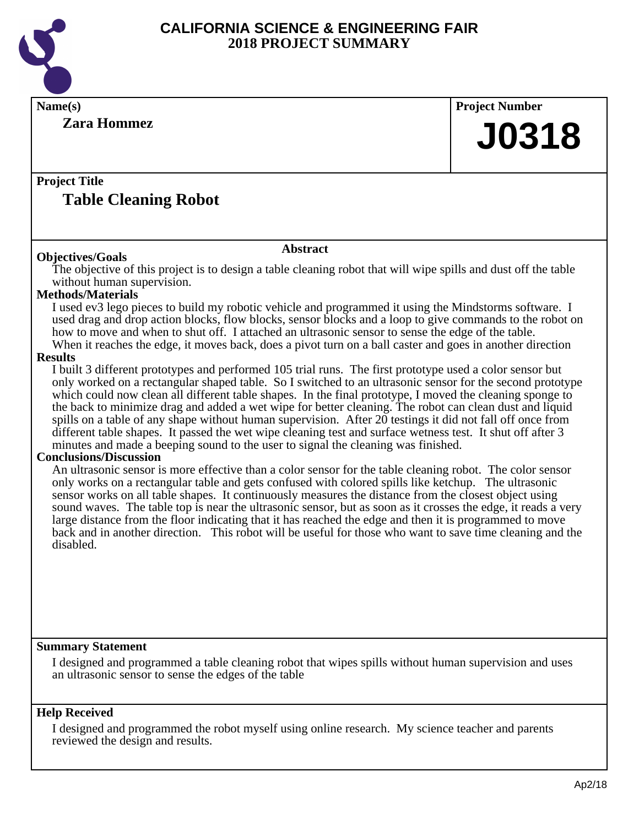

| Name(s)                                                                                                                                                                                                                                                                                                                                                                                                                                                                                                                                                                                                                                                                                                                                                                                                                                                                                                                                                                                                                                                                                                                                                                                                                                                                                                                                                                                                                                                                                                                                                                                                                                                                                                                                                                                                                                                                                                                                                                                                                                                                                                                | <b>Project Number</b> |
|------------------------------------------------------------------------------------------------------------------------------------------------------------------------------------------------------------------------------------------------------------------------------------------------------------------------------------------------------------------------------------------------------------------------------------------------------------------------------------------------------------------------------------------------------------------------------------------------------------------------------------------------------------------------------------------------------------------------------------------------------------------------------------------------------------------------------------------------------------------------------------------------------------------------------------------------------------------------------------------------------------------------------------------------------------------------------------------------------------------------------------------------------------------------------------------------------------------------------------------------------------------------------------------------------------------------------------------------------------------------------------------------------------------------------------------------------------------------------------------------------------------------------------------------------------------------------------------------------------------------------------------------------------------------------------------------------------------------------------------------------------------------------------------------------------------------------------------------------------------------------------------------------------------------------------------------------------------------------------------------------------------------------------------------------------------------------------------------------------------------|-----------------------|
| <b>Zara Hommez</b>                                                                                                                                                                                                                                                                                                                                                                                                                                                                                                                                                                                                                                                                                                                                                                                                                                                                                                                                                                                                                                                                                                                                                                                                                                                                                                                                                                                                                                                                                                                                                                                                                                                                                                                                                                                                                                                                                                                                                                                                                                                                                                     | <b>J0318</b>          |
| <b>Project Title</b><br><b>Table Cleaning Robot</b>                                                                                                                                                                                                                                                                                                                                                                                                                                                                                                                                                                                                                                                                                                                                                                                                                                                                                                                                                                                                                                                                                                                                                                                                                                                                                                                                                                                                                                                                                                                                                                                                                                                                                                                                                                                                                                                                                                                                                                                                                                                                    |                       |
|                                                                                                                                                                                                                                                                                                                                                                                                                                                                                                                                                                                                                                                                                                                                                                                                                                                                                                                                                                                                                                                                                                                                                                                                                                                                                                                                                                                                                                                                                                                                                                                                                                                                                                                                                                                                                                                                                                                                                                                                                                                                                                                        |                       |
| <b>Abstract</b><br><b>Objectives/Goals</b>                                                                                                                                                                                                                                                                                                                                                                                                                                                                                                                                                                                                                                                                                                                                                                                                                                                                                                                                                                                                                                                                                                                                                                                                                                                                                                                                                                                                                                                                                                                                                                                                                                                                                                                                                                                                                                                                                                                                                                                                                                                                             |                       |
| The objective of this project is to design a table cleaning robot that will wipe spills and dust off the table<br>without human supervision.<br><b>Methods/Materials</b><br>I used ev3 lego pieces to build my robotic vehicle and programmed it using the Mindstorms software. I<br>used drag and drop action blocks, flow blocks, sensor blocks and a loop to give commands to the robot on<br>how to move and when to shut off. I attached an ultrasonic sensor to sense the edge of the table.<br>When it reaches the edge, it moves back, does a pivot turn on a ball caster and goes in another direction<br><b>Results</b><br>I built 3 different prototypes and performed 105 trial runs. The first prototype used a color sensor but<br>only worked on a rectangular shaped table. So I switched to an ultrasonic sensor for the second prototype<br>which could now clean all different table shapes. In the final prototype, I moved the cleaning sponge to<br>the back to minimize drag and added a wet wipe for better cleaning. The robot can clean dust and liquid<br>spills on a table of any shape without human supervision. After 20 testings it did not fall off once from<br>different table shapes. It passed the wet wipe cleaning test and surface wetness test. It shut off after 3<br>minutes and made a beeping sound to the user to signal the cleaning was finished.<br><b>Conclusions/Discussion</b><br>An ultrasonic sensor is more effective than a color sensor for the table cleaning robot. The color sensor<br>only works on a rectangular table and gets confused with colored spills like ketchup. The ultrasonic<br>sensor works on all table shapes. It continuously measures the distance from the closest object using<br>sound waves. The table top is near the ultrasonic sensor, but as soon as it crosses the edge, it reads a very<br>large distance from the floor indicating that it has reached the edge and then it is programmed to move<br>back and in another direction. This robot will be useful for those who want to save time cleaning and the<br>disabled. |                       |
| <b>Summary Statement</b><br>I designed and programmed a table cleaning robot that wipes spills without human supervision and uses<br>an ultrasonic sensor to sense the edges of the table                                                                                                                                                                                                                                                                                                                                                                                                                                                                                                                                                                                                                                                                                                                                                                                                                                                                                                                                                                                                                                                                                                                                                                                                                                                                                                                                                                                                                                                                                                                                                                                                                                                                                                                                                                                                                                                                                                                              |                       |
| <b>Help Received</b>                                                                                                                                                                                                                                                                                                                                                                                                                                                                                                                                                                                                                                                                                                                                                                                                                                                                                                                                                                                                                                                                                                                                                                                                                                                                                                                                                                                                                                                                                                                                                                                                                                                                                                                                                                                                                                                                                                                                                                                                                                                                                                   |                       |
| I designed and programmed the robot myself using online research. My science teacher and parents<br>reviewed the design and results.                                                                                                                                                                                                                                                                                                                                                                                                                                                                                                                                                                                                                                                                                                                                                                                                                                                                                                                                                                                                                                                                                                                                                                                                                                                                                                                                                                                                                                                                                                                                                                                                                                                                                                                                                                                                                                                                                                                                                                                   |                       |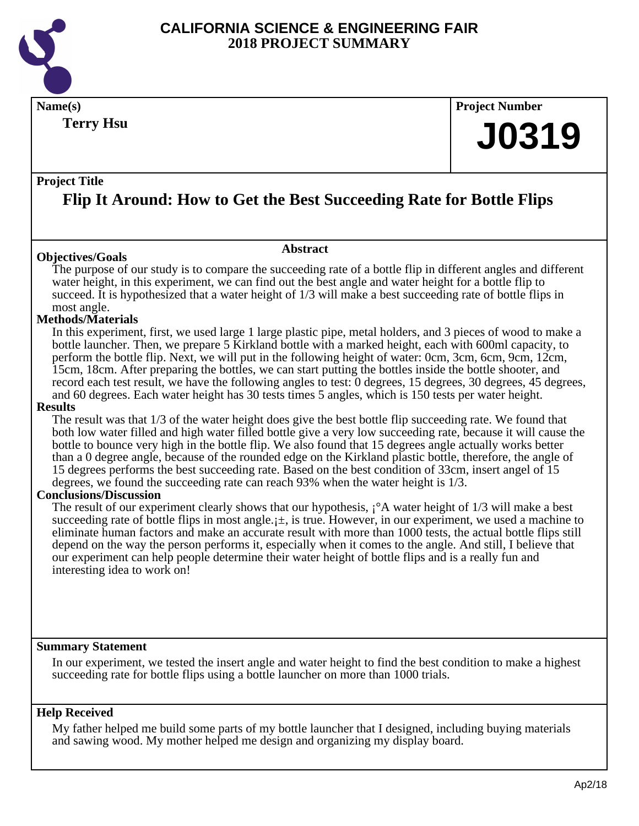

**Terry Hsu**

**Name(s) Project Number**

# **J0319**

### **Project Title**

# **Flip It Around: How to Get the Best Succeeding Rate for Bottle Flips**

**Abstract**

### **Objectives/Goals**

The purpose of our study is to compare the succeeding rate of a bottle flip in different angles and different water height, in this experiment, we can find out the best angle and water height for a bottle flip to succeed. It is hypothesized that a water height of 1/3 will make a best succeeding rate of bottle flips in most angle.

### **Methods/Materials**

In this experiment, first, we used large 1 large plastic pipe, metal holders, and 3 pieces of wood to make a bottle launcher. Then, we prepare 5 Kirkland bottle with a marked height, each with 600ml capacity, to perform the bottle flip. Next, we will put in the following height of water: 0cm, 3cm, 6cm, 9cm, 12cm, 15cm, 18cm. After preparing the bottles, we can start putting the bottles inside the bottle shooter, and record each test result, we have the following angles to test: 0 degrees, 15 degrees, 30 degrees, 45 degrees, and 60 degrees. Each water height has 30 tests times 5 angles, which is 150 tests per water height.

#### **Results**

The result was that 1/3 of the water height does give the best bottle flip succeeding rate. We found that both low water filled and high water filled bottle give a very low succeeding rate, because it will cause the bottle to bounce very high in the bottle flip. We also found that 15 degrees angle actually works better than a 0 degree angle, because of the rounded edge on the Kirkland plastic bottle, therefore, the angle of 15 degrees performs the best succeeding rate. Based on the best condition of 33cm, insert angel of 15 degrees, we found the succeeding rate can reach 93% when the water height is 1/3.

### **Conclusions/Discussion**

The result of our experiment clearly shows that our hypothesis,  $\hat{i}$ <sup>o</sup>A water height of 1/3 will make a best succeeding rate of bottle flips in most angle. $\pm$ , is true. However, in our experiment, we used a machine to eliminate human factors and make an accurate result with more than 1000 tests, the actual bottle flips still depend on the way the person performs it, especially when it comes to the angle. And still, I believe that our experiment can help people determine their water height of bottle flips and is a really fun and interesting idea to work on!

### **Summary Statement**

In our experiment, we tested the insert angle and water height to find the best condition to make a highest succeeding rate for bottle flips using a bottle launcher on more than 1000 trials.

### **Help Received**

My father helped me build some parts of my bottle launcher that I designed, including buying materials and sawing wood. My mother helped me design and organizing my display board.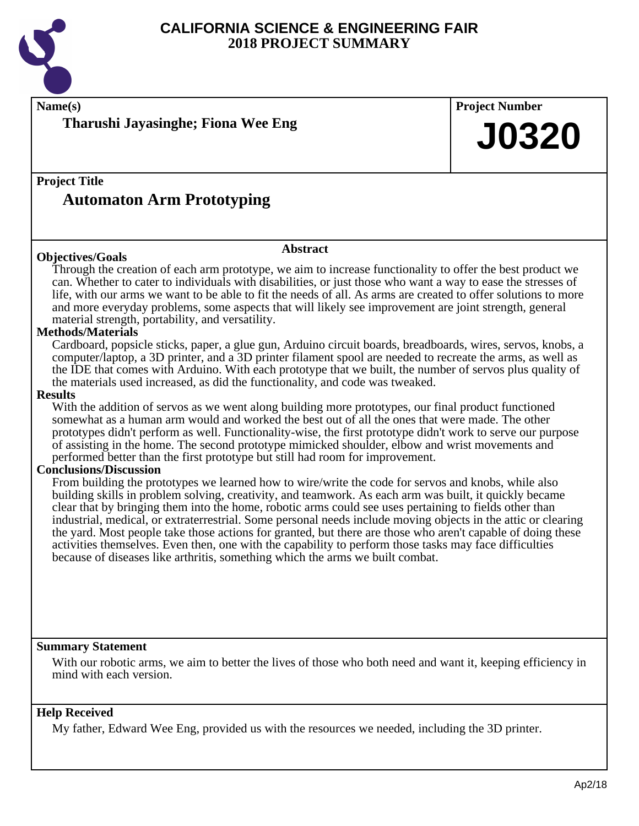

# **Name(s) Project Number Project Title Abstract Summary Statement Help Received Tharushi Jayasinghe; Fiona Wee Eng Automaton Arm Prototyping J0320 Objectives/Goals** Through the creation of each arm prototype, we aim to increase functionality to offer the best product we can. Whether to cater to individuals with disabilities, or just those who want a way to ease the stresses of life, with our arms we want to be able to fit the needs of all. As arms are created to offer solutions to more and more everyday problems, some aspects that will likely see improvement are joint strength, general material strength, portability, and versatility. **Methods/Materials** Cardboard, popsicle sticks, paper, a glue gun, Arduino circuit boards, breadboards, wires, servos, knobs, a computer/laptop, a 3D printer, and a 3D printer filament spool are needed to recreate the arms, as well as the IDE that comes with Arduino. With each prototype that we built, the number of servos plus quality of the materials used increased, as did the functionality, and code was tweaked. **Results** With the addition of servos as we went along building more prototypes, our final product functioned somewhat as a human arm would and worked the best out of all the ones that were made. The other prototypes didn't perform as well. Functionality-wise, the first prototype didn't work to serve our purpose of assisting in the home. The second prototype mimicked shoulder, elbow and wrist movements and performed better than the first prototype but still had room for improvement. **Conclusions/Discussion** From building the prototypes we learned how to wire/write the code for servos and knobs, while also building skills in problem solving, creativity, and teamwork. As each arm was built, it quickly became clear that by bringing them into the home, robotic arms could see uses pertaining to fields other than industrial, medical, or extraterrestrial. Some personal needs include moving objects in the attic or clearing the yard. Most people take those actions for granted, but there are those who aren't capable of doing these activities themselves. Even then, one with the capability to perform those tasks may face difficulties because of diseases like arthritis, something which the arms we built combat. With our robotic arms, we aim to better the lives of those who both need and want it, keeping efficiency in mind with each version. My father, Edward Wee Eng, provided us with the resources we needed, including the 3D printer.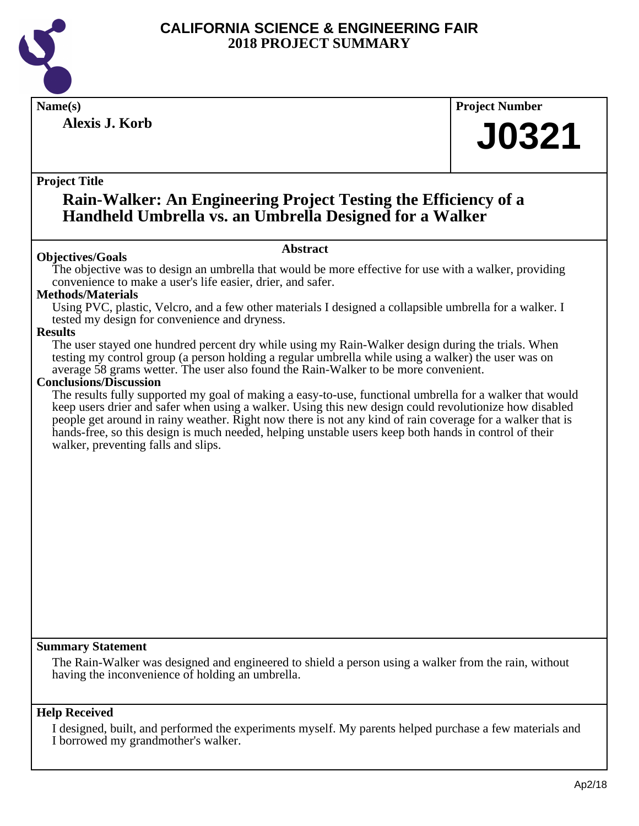

**Alexis J. Korb**

**Name(s) Project Number**

# **J0321**

### **Project Title**

# **Rain-Walker: An Engineering Project Testing the Efficiency of a Handheld Umbrella vs. an Umbrella Designed for a Walker**

### **Abstract**

**Objectives/Goals** The objective was to design an umbrella that would be more effective for use with a walker, providing convenience to make a user's life easier, drier, and safer.

### **Methods/Materials**

Using PVC, plastic, Velcro, and a few other materials I designed a collapsible umbrella for a walker. I tested my design for convenience and dryness.

### **Results**

The user stayed one hundred percent dry while using my Rain-Walker design during the trials. When testing my control group (a person holding a regular umbrella while using a walker) the user was on average 58 grams wetter. The user also found the Rain-Walker to be more convenient.

### **Conclusions/Discussion**

The results fully supported my goal of making a easy-to-use, functional umbrella for a walker that would keep users drier and safer when using a walker. Using this new design could revolutionize how disabled people get around in rainy weather. Right now there is not any kind of rain coverage for a walker that is hands-free, so this design is much needed, helping unstable users keep both hands in control of their walker, preventing falls and slips.

### **Summary Statement**

The Rain-Walker was designed and engineered to shield a person using a walker from the rain, without having the inconvenience of holding an umbrella.

### **Help Received**

I designed, built, and performed the experiments myself. My parents helped purchase a few materials and I borrowed my grandmother's walker.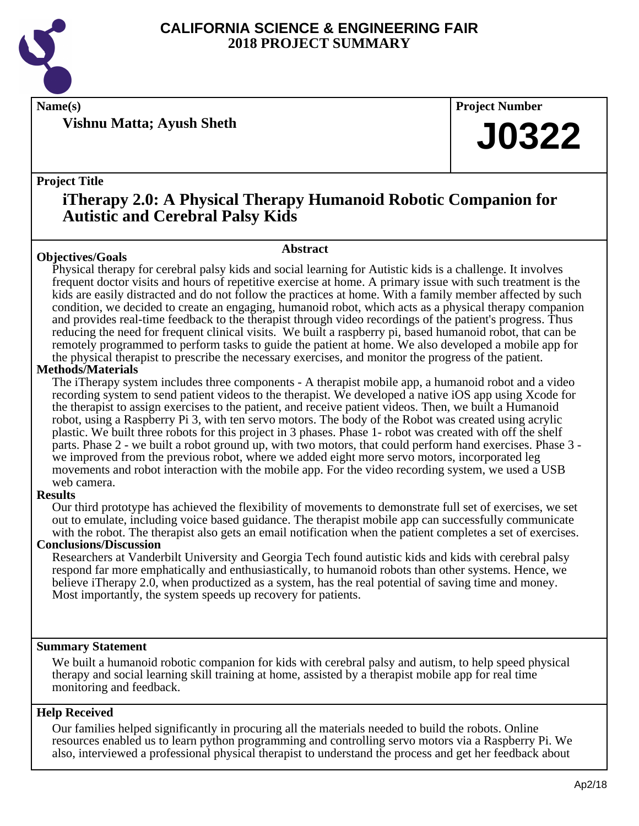

**Vishnu Matta; Ayush Sheth**

**Name(s) Project Number**

# **J0322**

### **Project Title**

# **iTherapy 2.0: A Physical Therapy Humanoid Robotic Companion for Autistic and Cerebral Palsy Kids**

**Abstract**

### **Objectives/Goals**

Physical therapy for cerebral palsy kids and social learning for Autistic kids is a challenge. It involves frequent doctor visits and hours of repetitive exercise at home. A primary issue with such treatment is the kids are easily distracted and do not follow the practices at home. With a family member affected by such condition, we decided to create an engaging, humanoid robot, which acts as a physical therapy companion and provides real-time feedback to the therapist through video recordings of the patient's progress. Thus reducing the need for frequent clinical visits. We built a raspberry pi, based humanoid robot, that can be remotely programmed to perform tasks to guide the patient at home. We also developed a mobile app for the physical therapist to prescribe the necessary exercises, and monitor the progress of the patient.

### **Methods/Materials**

The iTherapy system includes three components - A therapist mobile app, a humanoid robot and a video recording system to send patient videos to the therapist. We developed a native iOS app using Xcode for the therapist to assign exercises to the patient, and receive patient videos. Then, we built a Humanoid robot, using a Raspberry Pi 3, with ten servo motors. The body of the Robot was created using acrylic plastic. We built three robots for this project in 3 phases. Phase 1- robot was created with off the shelf parts. Phase 2 - we built a robot ground up, with two motors, that could perform hand exercises. Phase 3 we improved from the previous robot, where we added eight more servo motors, incorporated leg movements and robot interaction with the mobile app. For the video recording system, we used a USB web camera.

### **Results**

Our third prototype has achieved the flexibility of movements to demonstrate full set of exercises, we set out to emulate, including voice based guidance. The therapist mobile app can successfully communicate with the robot. The therapist also gets an email notification when the patient completes a set of exercises.

### **Conclusions/Discussion**

Researchers at Vanderbilt University and Georgia Tech found autistic kids and kids with cerebral palsy respond far more emphatically and enthusiastically, to humanoid robots than other systems. Hence, we believe iTherapy 2.0, when productized as a system, has the real potential of saving time and money. Most importantly, the system speeds up recovery for patients.

### **Summary Statement**

We built a humanoid robotic companion for kids with cerebral palsy and autism, to help speed physical therapy and social learning skill training at home, assisted by a therapist mobile app for real time monitoring and feedback.

### **Help Received**

Our families helped significantly in procuring all the materials needed to build the robots. Online resources enabled us to learn python programming and controlling servo motors via a Raspberry Pi. We also, interviewed a professional physical therapist to understand the process and get her feedback about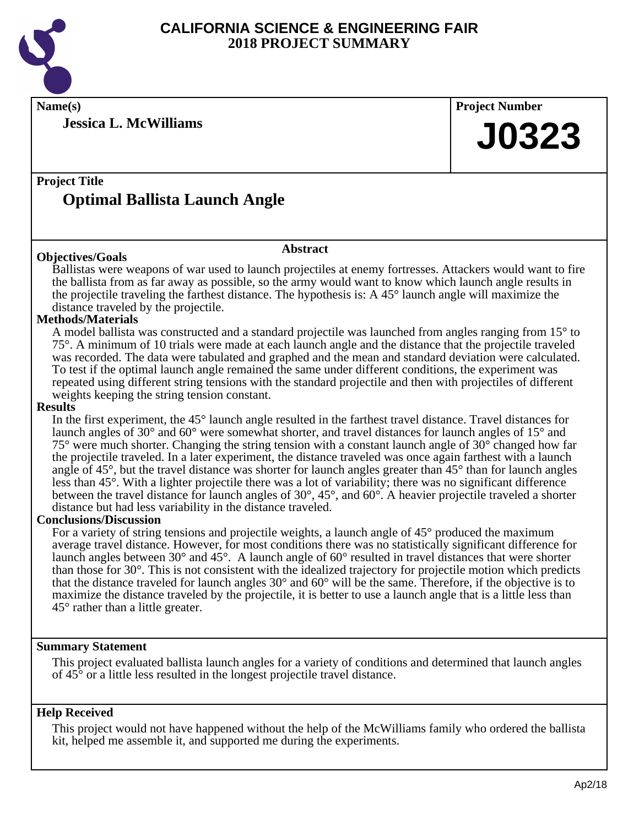

**Jessica L. McWilliams**

**Name(s) Project Number**

# **J0323**

# **Project Title Optimal Ballista Launch Angle**

### **Objectives/Goals**

Ballistas were weapons of war used to launch projectiles at enemy fortresses. Attackers would want to fire the ballista from as far away as possible, so the army would want to know which launch angle results in the projectile traveling the farthest distance. The hypothesis is: A 45° launch angle will maximize the distance traveled by the projectile.

**Abstract**

### **Methods/Materials**

A model ballista was constructed and a standard projectile was launched from angles ranging from 15° to 75°. A minimum of 10 trials were made at each launch angle and the distance that the projectile traveled was recorded. The data were tabulated and graphed and the mean and standard deviation were calculated. To test if the optimal launch angle remained the same under different conditions, the experiment was repeated using different string tensions with the standard projectile and then with projectiles of different weights keeping the string tension constant.

### **Results**

In the first experiment, the 45° launch angle resulted in the farthest travel distance. Travel distances for launch angles of 30° and 60° were somewhat shorter, and travel distances for launch angles of 15° and 75° were much shorter. Changing the string tension with a constant launch angle of 30° changed how far the projectile traveled. In a later experiment, the distance traveled was once again farthest with a launch angle of 45°, but the travel distance was shorter for launch angles greater than 45° than for launch angles less than 45°. With a lighter projectile there was a lot of variability; there was no significant difference between the travel distance for launch angles of 30°, 45°, and 60°. A heavier projectile traveled a shorter distance but had less variability in the distance traveled.

### **Conclusions/Discussion**

For a variety of string tensions and projectile weights, a launch angle of 45° produced the maximum average travel distance. However, for most conditions there was no statistically significant difference for launch angles between 30° and 45°. A launch angle of 60° resulted in travel distances that were shorter than those for 30°. This is not consistent with the idealized trajectory for projectile motion which predicts that the distance traveled for launch angles 30° and 60° will be the same. Therefore, if the objective is to maximize the distance traveled by the projectile, it is better to use a launch angle that is a little less than 45° rather than a little greater.

### **Summary Statement**

This project evaluated ballista launch angles for a variety of conditions and determined that launch angles of 45° or a little less resulted in the longest projectile travel distance.

### **Help Received**

This project would not have happened without the help of the McWilliams family who ordered the ballista kit, helped me assemble it, and supported me during the experiments.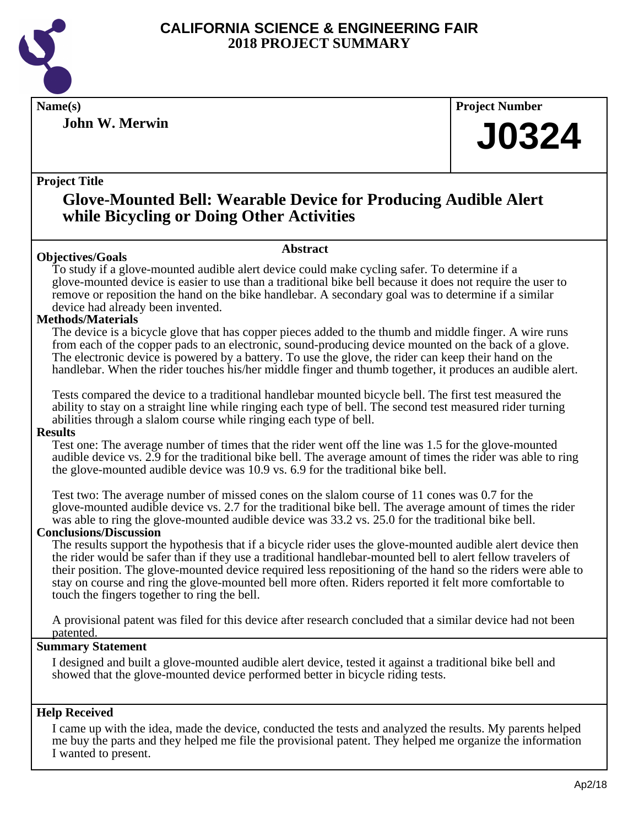

**John W. Merwin**

**Name(s) Project Number**

# **J0324**

### **Project Title**

# **Glove-Mounted Bell: Wearable Device for Producing Audible Alert while Bicycling or Doing Other Activities**

### **Abstract**

**Objectives/Goals** To study if a glove-mounted audible alert device could make cycling safer. To determine if a glove-mounted device is easier to use than a traditional bike bell because it does not require the user to remove or reposition the hand on the bike handlebar. A secondary goal was to determine if a similar device had already been invented.

### **Methods/Materials**

The device is a bicycle glove that has copper pieces added to the thumb and middle finger. A wire runs from each of the copper pads to an electronic, sound-producing device mounted on the back of a glove. The electronic device is powered by a battery. To use the glove, the rider can keep their hand on the handlebar. When the rider touches his/her middle finger and thumb together, it produces an audible alert.

Tests compared the device to a traditional handlebar mounted bicycle bell. The first test measured the ability to stay on a straight line while ringing each type of bell. The second test measured rider turning abilities through a slalom course while ringing each type of bell.

### **Results**

Test one: The average number of times that the rider went off the line was 1.5 for the glove-mounted audible device vs. 2.9 for the traditional bike bell. The average amount of times the rider was able to ring the glove-mounted audible device was 10.9 vs. 6.9 for the traditional bike bell.

Test two: The average number of missed cones on the slalom course of 11 cones was 0.7 for the glove-mounted audible device vs. 2.7 for the traditional bike bell. The average amount of times the rider was able to ring the glove-mounted audible device was 33.2 vs. 25.0 for the traditional bike bell.

### **Conclusions/Discussion**

The results support the hypothesis that if a bicycle rider uses the glove-mounted audible alert device then the rider would be safer than if they use a traditional handlebar-mounted bell to alert fellow travelers of their position. The glove-mounted device required less repositioning of the hand so the riders were able to stay on course and ring the glove-mounted bell more often. Riders reported it felt more comfortable to touch the fingers together to ring the bell.

A provisional patent was filed for this device after research concluded that a similar device had not been patented.

### **Summary Statement**

I designed and built a glove-mounted audible alert device, tested it against a traditional bike bell and showed that the glove-mounted device performed better in bicycle riding tests.

### **Help Received**

I came up with the idea, made the device, conducted the tests and analyzed the results. My parents helped me buy the parts and they helped me file the provisional patent. They helped me organize the information I wanted to present.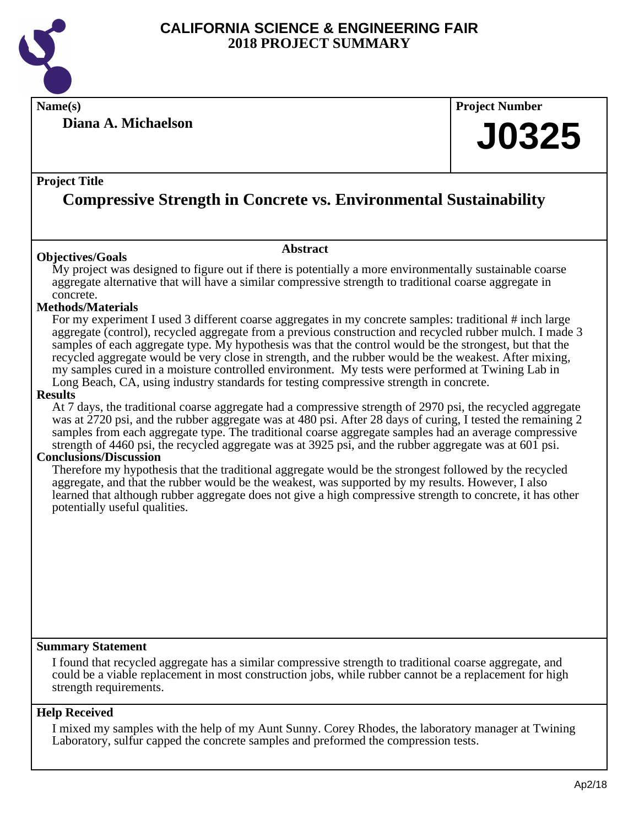

**Name(s) Project Number**

**Diana A. Michaelson**

# **J0325**

### **Project Title**

# **Compressive Strength in Concrete vs. Environmental Sustainability**

**Abstract**

### **Objectives/Goals**

My project was designed to figure out if there is potentially a more environmentally sustainable coarse aggregate alternative that will have a similar compressive strength to traditional coarse aggregate in concrete.

### **Methods/Materials**

For my experiment I used 3 different coarse aggregates in my concrete samples: traditional # inch large aggregate (control), recycled aggregate from a previous construction and recycled rubber mulch. I made 3 samples of each aggregate type. My hypothesis was that the control would be the strongest, but that the recycled aggregate would be very close in strength, and the rubber would be the weakest. After mixing, my samples cured in a moisture controlled environment. My tests were performed at Twining Lab in Long Beach, CA, using industry standards for testing compressive strength in concrete.

### **Results**

At 7 days, the traditional coarse aggregate had a compressive strength of 2970 psi, the recycled aggregate was at 2720 psi, and the rubber aggregate was at 480 psi. After 28 days of curing, I tested the remaining 2 samples from each aggregate type. The traditional coarse aggregate samples had an average compressive strength of 4460 psi, the recycled aggregate was at 3925 psi, and the rubber aggregate was at 601 psi.

### **Conclusions/Discussion**

Therefore my hypothesis that the traditional aggregate would be the strongest followed by the recycled aggregate, and that the rubber would be the weakest, was supported by my results. However, I also learned that although rubber aggregate does not give a high compressive strength to concrete, it has other potentially useful qualities.

### **Summary Statement**

I found that recycled aggregate has a similar compressive strength to traditional coarse aggregate, and could be a viable replacement in most construction jobs, while rubber cannot be a replacement for high strength requirements.

### **Help Received**

I mixed my samples with the help of my Aunt Sunny. Corey Rhodes, the laboratory manager at Twining Laboratory, sulfur capped the concrete samples and preformed the compression tests.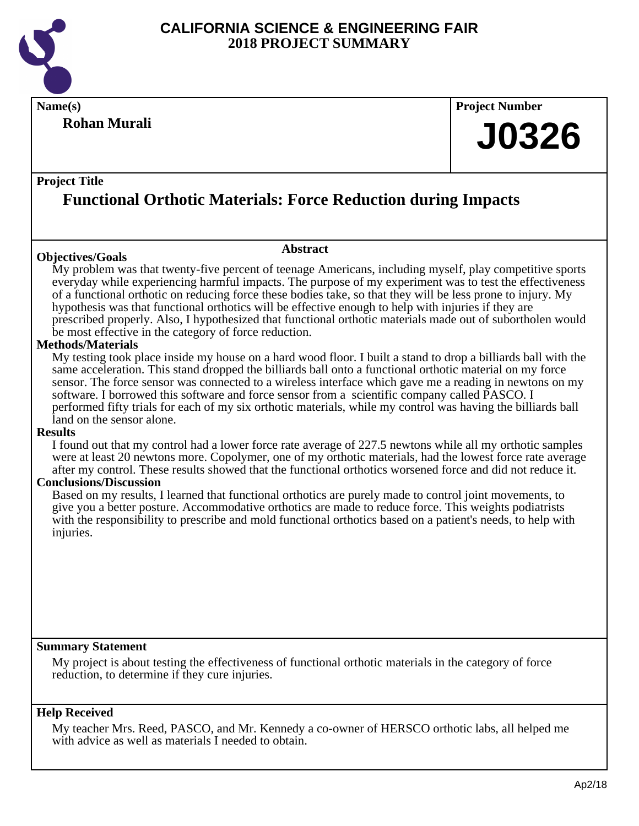

# **Rohan Murali**

# **Name(s) Project Number**

# **J0326**

### **Project Title**

# **Functional Orthotic Materials: Force Reduction during Impacts**

### **Objectives/Goals**

### **Abstract**

My problem was that twenty-five percent of teenage Americans, including myself, play competitive sports everyday while experiencing harmful impacts. The purpose of my experiment was to test the effectiveness of a functional orthotic on reducing force these bodies take, so that they will be less prone to injury. My hypothesis was that functional orthotics will be effective enough to help with injuries if they are prescribed properly. Also, I hypothesized that functional orthotic materials made out of subortholen would be most effective in the category of force reduction.

### **Methods/Materials**

My testing took place inside my house on a hard wood floor. I built a stand to drop a billiards ball with the same acceleration. This stand dropped the billiards ball onto a functional orthotic material on my force sensor. The force sensor was connected to a wireless interface which gave me a reading in newtons on my software. I borrowed this software and force sensor from a scientific company called PASCO. I performed fifty trials for each of my six orthotic materials, while my control was having the billiards ball land on the sensor alone.

### **Results**

I found out that my control had a lower force rate average of 227.5 newtons while all my orthotic samples were at least 20 newtons more. Copolymer, one of my orthotic materials, had the lowest force rate average after my control. These results showed that the functional orthotics worsened force and did not reduce it.

### **Conclusions/Discussion**

Based on my results, I learned that functional orthotics are purely made to control joint movements, to give you a better posture. Accommodative orthotics are made to reduce force. This weights podiatrists with the responsibility to prescribe and mold functional orthotics based on a patient's needs, to help with injuries.

### **Summary Statement**

My project is about testing the effectiveness of functional orthotic materials in the category of force reduction, to determine if they cure injuries.

### **Help Received**

My teacher Mrs. Reed, PASCO, and Mr. Kennedy a co-owner of HERSCO orthotic labs, all helped me with advice as well as materials I needed to obtain.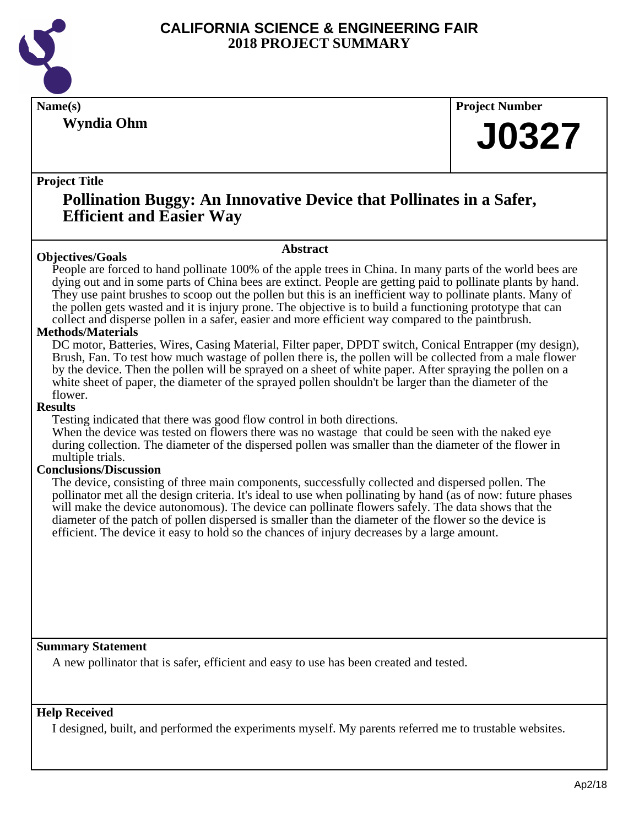

**Wyndia Ohm**

**Name(s) Project Number**

# **J0327**

### **Project Title**

# **Pollination Buggy: An Innovative Device that Pollinates in a Safer, Efficient and Easier Way**

### **Objectives/Goals**

**Abstract**

People are forced to hand pollinate 100% of the apple trees in China. In many parts of the world bees are dying out and in some parts of China bees are extinct. People are getting paid to pollinate plants by hand. They use paint brushes to scoop out the pollen but this is an inefficient way to pollinate plants. Many of the pollen gets wasted and it is injury prone. The objective is to build a functioning prototype that can collect and disperse pollen in a safer, easier and more efficient way compared to the paintbrush.

### **Methods/Materials**

DC motor, Batteries, Wires, Casing Material, Filter paper, DPDT switch, Conical Entrapper (my design), Brush, Fan. To test how much wastage of pollen there is, the pollen will be collected from a male flower by the device. Then the pollen will be sprayed on a sheet of white paper. After spraying the pollen on a white sheet of paper, the diameter of the sprayed pollen shouldn't be larger than the diameter of the flower.

### **Results**

Testing indicated that there was good flow control in both directions.

When the device was tested on flowers there was no wastage that could be seen with the naked eye during collection. The diameter of the dispersed pollen was smaller than the diameter of the flower in multiple trials.

### **Conclusions/Discussion**

The device, consisting of three main components, successfully collected and dispersed pollen. The pollinator met all the design criteria. It's ideal to use when pollinating by hand (as of now: future phases will make the device autonomous). The device can pollinate flowers safely. The data shows that the diameter of the patch of pollen dispersed is smaller than the diameter of the flower so the device is efficient. The device it easy to hold so the chances of injury decreases by a large amount.

### **Summary Statement**

A new pollinator that is safer, efficient and easy to use has been created and tested.

### **Help Received**

I designed, built, and performed the experiments myself. My parents referred me to trustable websites.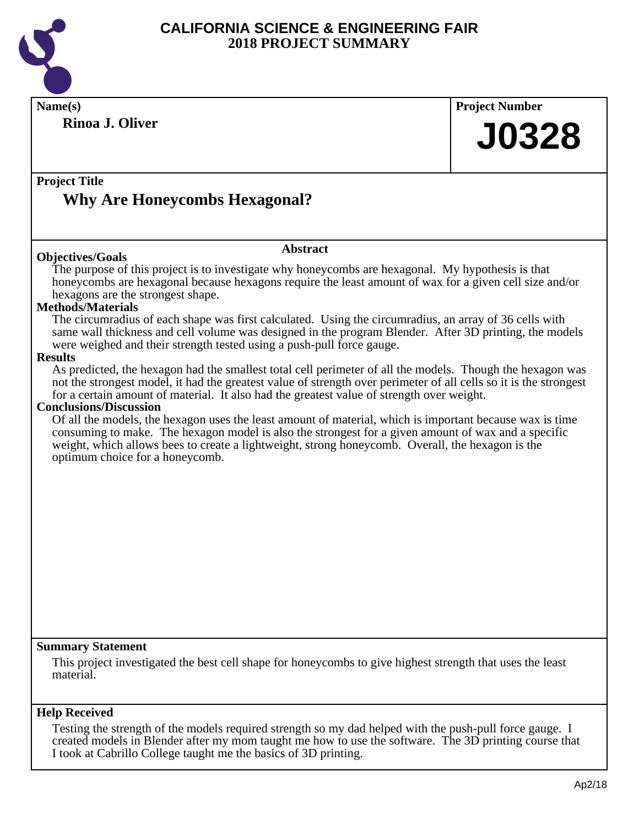

| Name(s)                                                                                                                                                                                                                                                                                                                                                | <b>Project Number</b> |
|--------------------------------------------------------------------------------------------------------------------------------------------------------------------------------------------------------------------------------------------------------------------------------------------------------------------------------------------------------|-----------------------|
| <b>Rinoa J. Oliver</b>                                                                                                                                                                                                                                                                                                                                 | <b>J0328</b>          |
|                                                                                                                                                                                                                                                                                                                                                        |                       |
| <b>Project Title</b>                                                                                                                                                                                                                                                                                                                                   |                       |
| <b>Why Are Honeycombs Hexagonal?</b>                                                                                                                                                                                                                                                                                                                   |                       |
|                                                                                                                                                                                                                                                                                                                                                        |                       |
|                                                                                                                                                                                                                                                                                                                                                        |                       |
| <b>Abstract</b><br><b>Objectives/Goals</b>                                                                                                                                                                                                                                                                                                             |                       |
| The purpose of this project is to investigate why honeycombs are hexagonal. My hypothesis is that<br>honeycombs are hexagonal because hexagons require the least amount of wax for a given cell size and/or<br>hexagons are the strongest shape.                                                                                                       |                       |
| <b>Methods/Materials</b>                                                                                                                                                                                                                                                                                                                               |                       |
| The circumradius of each shape was first calculated. Using the circumradius, an array of 36 cells with<br>same wall thickness and cell volume was designed in the program Blender. After 3D printing, the models<br>were weighed and their strength tested using a push-pull force gauge.                                                              |                       |
| <b>Results</b>                                                                                                                                                                                                                                                                                                                                         |                       |
| As predicted, the hexagon had the smallest total cell perimeter of all the models. Though the hexagon was<br>not the strongest model, it had the greatest value of strength over perimeter of all cells so it is the strongest<br>for a certain amount of material. It also had the greatest value of strength over weight.                            |                       |
| <b>Conclusions/Discussion</b>                                                                                                                                                                                                                                                                                                                          |                       |
| Of all the models, the hexagon uses the least amount of material, which is important because wax is time<br>consuming to make. The hexagon model is also the strongest for a given amount of wax and a specific<br>weight, which allows bees to create a lightweight, strong honeycomb. Overall, the hexagon is the<br>optimum choice for a honeycomb. |                       |
|                                                                                                                                                                                                                                                                                                                                                        |                       |
|                                                                                                                                                                                                                                                                                                                                                        |                       |
|                                                                                                                                                                                                                                                                                                                                                        |                       |
|                                                                                                                                                                                                                                                                                                                                                        |                       |
|                                                                                                                                                                                                                                                                                                                                                        |                       |
|                                                                                                                                                                                                                                                                                                                                                        |                       |
|                                                                                                                                                                                                                                                                                                                                                        |                       |
|                                                                                                                                                                                                                                                                                                                                                        |                       |
|                                                                                                                                                                                                                                                                                                                                                        |                       |
|                                                                                                                                                                                                                                                                                                                                                        |                       |
| <b>Summary Statement</b>                                                                                                                                                                                                                                                                                                                               |                       |
| This project investigated the best cell shape for honeycombs to give highest strength that uses the least                                                                                                                                                                                                                                              |                       |
| material.                                                                                                                                                                                                                                                                                                                                              |                       |
| <b>Help Received</b>                                                                                                                                                                                                                                                                                                                                   |                       |
| Testing the strength of the models required strength so my dad helped with the push-pull force gauge. I                                                                                                                                                                                                                                                |                       |
| created models in Blender after my mom taught me how to use the software. The 3D printing course that<br>I took at Cabrillo College taught me the basics of 3D printing.                                                                                                                                                                               |                       |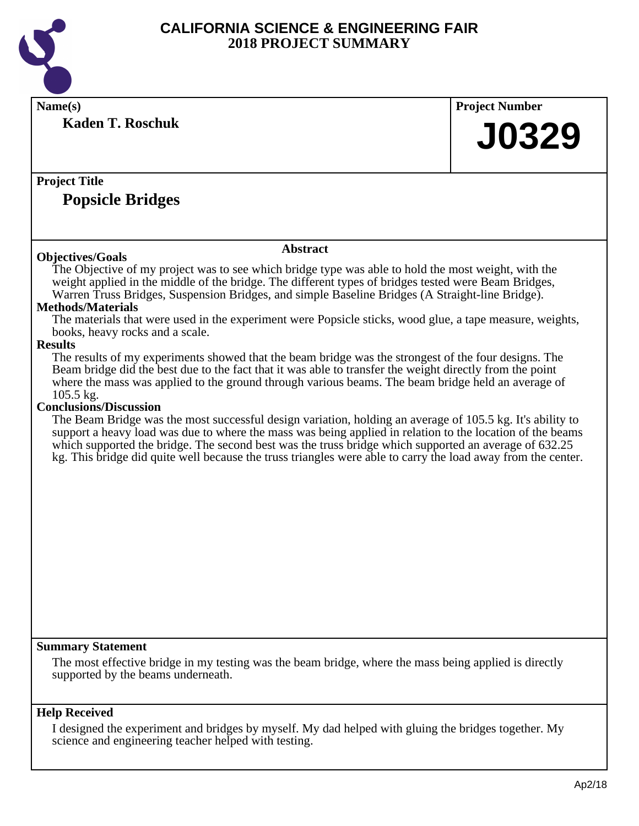

| Name(s)                                                                                                                                                                                                            | <b>Project Number</b> |
|--------------------------------------------------------------------------------------------------------------------------------------------------------------------------------------------------------------------|-----------------------|
| <b>Kaden T. Roschuk</b>                                                                                                                                                                                            |                       |
|                                                                                                                                                                                                                    | <b>J0329</b>          |
|                                                                                                                                                                                                                    |                       |
|                                                                                                                                                                                                                    |                       |
| <b>Project Title</b>                                                                                                                                                                                               |                       |
| <b>Popsicle Bridges</b>                                                                                                                                                                                            |                       |
|                                                                                                                                                                                                                    |                       |
|                                                                                                                                                                                                                    |                       |
| <b>Abstract</b><br><b>Objectives/Goals</b>                                                                                                                                                                         |                       |
| The Objective of my project was to see which bridge type was able to hold the most weight, with the                                                                                                                |                       |
| weight applied in the middle of the bridge. The different types of bridges tested were Beam Bridges,                                                                                                               |                       |
| Warren Truss Bridges, Suspension Bridges, and simple Baseline Bridges (A Straight-line Bridge).<br><b>Methods/Materials</b>                                                                                        |                       |
| The materials that were used in the experiment were Popsicle sticks, wood glue, a tape measure, weights,                                                                                                           |                       |
| books, heavy rocks and a scale.                                                                                                                                                                                    |                       |
| <b>Results</b>                                                                                                                                                                                                     |                       |
| The results of my experiments showed that the beam bridge was the strongest of the four designs. The                                                                                                               |                       |
| Beam bridge did the best due to the fact that it was able to transfer the weight directly from the point<br>where the mass was applied to the ground through various beams. The beam bridge held an average of     |                       |
| 105.5 kg.                                                                                                                                                                                                          |                       |
| <b>Conclusions/Discussion</b>                                                                                                                                                                                      |                       |
| The Beam Bridge was the most successful design variation, holding an average of 105.5 kg. It's ability to                                                                                                          |                       |
| support a heavy load was due to where the mass was being applied in relation to the location of the beams<br>which supported the bridge. The second best was the truss bridge which supported an average of 632.25 |                       |
| kg. This bridge did quite well because the truss triangles were able to carry the load away from the center.                                                                                                       |                       |
|                                                                                                                                                                                                                    |                       |
|                                                                                                                                                                                                                    |                       |
|                                                                                                                                                                                                                    |                       |
|                                                                                                                                                                                                                    |                       |
|                                                                                                                                                                                                                    |                       |
|                                                                                                                                                                                                                    |                       |
|                                                                                                                                                                                                                    |                       |
|                                                                                                                                                                                                                    |                       |
|                                                                                                                                                                                                                    |                       |
|                                                                                                                                                                                                                    |                       |
|                                                                                                                                                                                                                    |                       |
|                                                                                                                                                                                                                    |                       |
| <b>Summary Statement</b>                                                                                                                                                                                           |                       |
| The most effective bridge in my testing was the beam bridge, where the mass being applied is directly                                                                                                              |                       |
| supported by the beams underneath.                                                                                                                                                                                 |                       |
|                                                                                                                                                                                                                    |                       |
| <b>Help Received</b>                                                                                                                                                                                               |                       |
| I designed the experiment and bridges by myself. My dad helped with gluing the bridges together. My                                                                                                                |                       |
| science and engineering teacher helped with testing.                                                                                                                                                               |                       |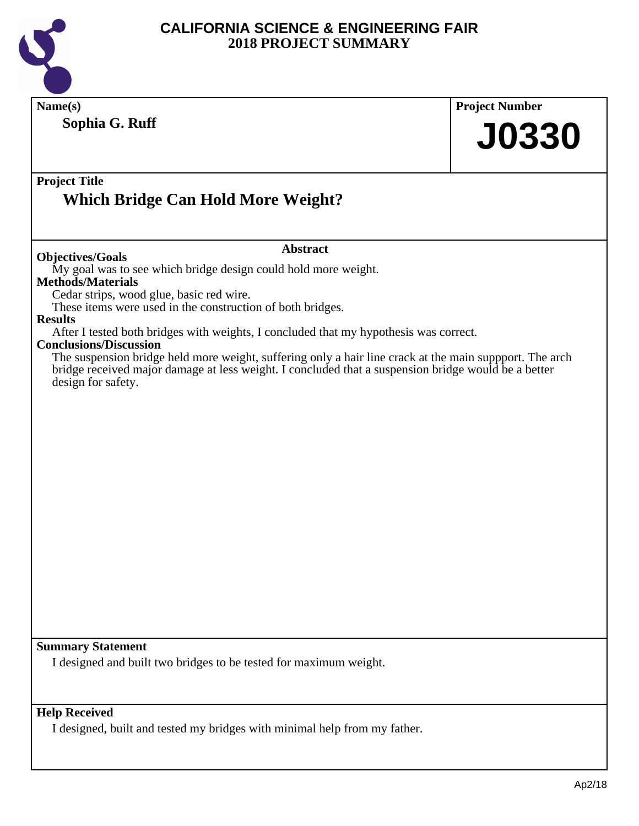

| Name(s)                                                                                                                                                                                                                           | <b>Project Number</b> |
|-----------------------------------------------------------------------------------------------------------------------------------------------------------------------------------------------------------------------------------|-----------------------|
| Sophia G. Ruff                                                                                                                                                                                                                    | <b>J0330</b>          |
| <b>Project Title</b><br><b>Which Bridge Can Hold More Weight?</b>                                                                                                                                                                 |                       |
| <b>Abstract</b><br><b>Objectives/Goals</b>                                                                                                                                                                                        |                       |
| My goal was to see which bridge design could hold more weight.<br><b>Methods/Materials</b><br>Cedar strips, wood glue, basic red wire.                                                                                            |                       |
| These items were used in the construction of both bridges.<br><b>Results</b>                                                                                                                                                      |                       |
| After I tested both bridges with weights, I concluded that my hypothesis was correct.<br><b>Conclusions/Discussion</b><br>The suspension bridge held more weight, suffering only a hair line crack at the main suppport. The arch |                       |
| bridge received major damage at less weight. I concluded that a suspension bridge would be a better<br>design for safety.                                                                                                         |                       |
|                                                                                                                                                                                                                                   |                       |
|                                                                                                                                                                                                                                   |                       |
|                                                                                                                                                                                                                                   |                       |
|                                                                                                                                                                                                                                   |                       |
|                                                                                                                                                                                                                                   |                       |
|                                                                                                                                                                                                                                   |                       |
|                                                                                                                                                                                                                                   |                       |
|                                                                                                                                                                                                                                   |                       |
|                                                                                                                                                                                                                                   |                       |
|                                                                                                                                                                                                                                   |                       |
|                                                                                                                                                                                                                                   |                       |
| <b>Summary Statement</b>                                                                                                                                                                                                          |                       |
| I designed and built two bridges to be tested for maximum weight.                                                                                                                                                                 |                       |
| <b>Help Received</b>                                                                                                                                                                                                              |                       |
| I designed, built and tested my bridges with minimal help from my father.                                                                                                                                                         |                       |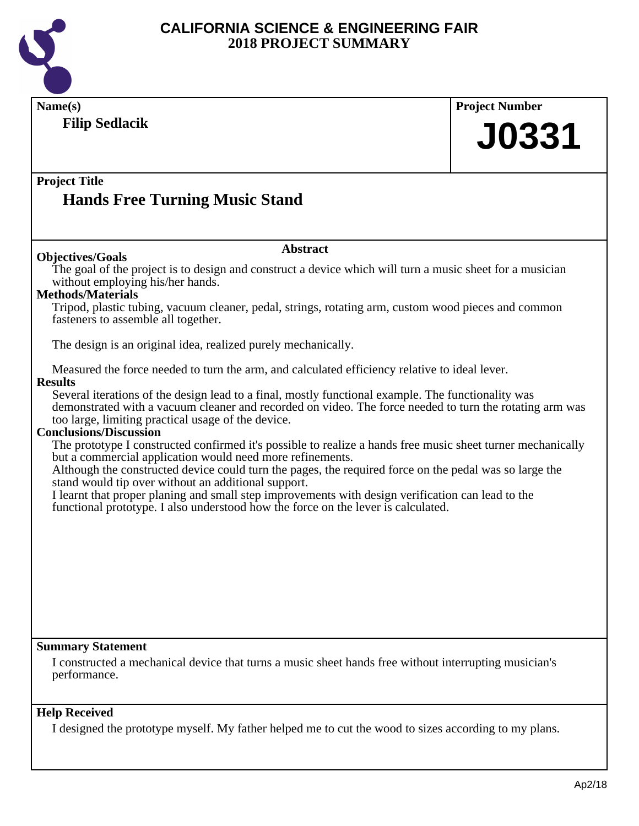

| Name(s)                                                                                                                                                                                | <b>Project Number</b> |
|----------------------------------------------------------------------------------------------------------------------------------------------------------------------------------------|-----------------------|
| <b>Filip Sedlacik</b>                                                                                                                                                                  | <b>J0331</b>          |
|                                                                                                                                                                                        |                       |
|                                                                                                                                                                                        |                       |
| <b>Project Title</b>                                                                                                                                                                   |                       |
| <b>Hands Free Turning Music Stand</b>                                                                                                                                                  |                       |
|                                                                                                                                                                                        |                       |
| <b>Abstract</b>                                                                                                                                                                        |                       |
| <b>Objectives/Goals</b><br>The goal of the project is to design and construct a device which will turn a music sheet for a musician                                                    |                       |
| without employing his/her hands.<br><b>Methods/Materials</b>                                                                                                                           |                       |
| Tripod, plastic tubing, vacuum cleaner, pedal, strings, rotating arm, custom wood pieces and common<br>fasteners to assemble all together.                                             |                       |
| The design is an original idea, realized purely mechanically.                                                                                                                          |                       |
| Measured the force needed to turn the arm, and calculated efficiency relative to ideal lever.                                                                                          |                       |
| <b>Results</b><br>Several iterations of the design lead to a final, mostly functional example. The functionality was                                                                   |                       |
| demonstrated with a vacuum cleaner and recorded on video. The force needed to turn the rotating arm was                                                                                |                       |
| too large, limiting practical usage of the device.                                                                                                                                     |                       |
| <b>Conclusions/Discussion</b>                                                                                                                                                          |                       |
| The prototype I constructed confirmed it's possible to realize a hands free music sheet turner mechanically<br>but a commercial application would need more refinements.               |                       |
| Although the constructed device could turn the pages, the required force on the pedal was so large the                                                                                 |                       |
| stand would tip over without an additional support.                                                                                                                                    |                       |
| I learnt that proper planing and small step improvements with design verification can lead to the<br>functional prototype. I also understood how the force on the lever is calculated. |                       |
|                                                                                                                                                                                        |                       |
|                                                                                                                                                                                        |                       |
|                                                                                                                                                                                        |                       |
|                                                                                                                                                                                        |                       |
|                                                                                                                                                                                        |                       |
|                                                                                                                                                                                        |                       |
|                                                                                                                                                                                        |                       |
|                                                                                                                                                                                        |                       |
| <b>Summary Statement</b>                                                                                                                                                               |                       |
| I constructed a mechanical device that turns a music sheet hands free without interrupting musician's<br>performance.                                                                  |                       |
|                                                                                                                                                                                        |                       |
| <b>Help Received</b>                                                                                                                                                                   |                       |
| I designed the prototype myself. My father helped me to cut the wood to sizes according to my plans.                                                                                   |                       |
|                                                                                                                                                                                        |                       |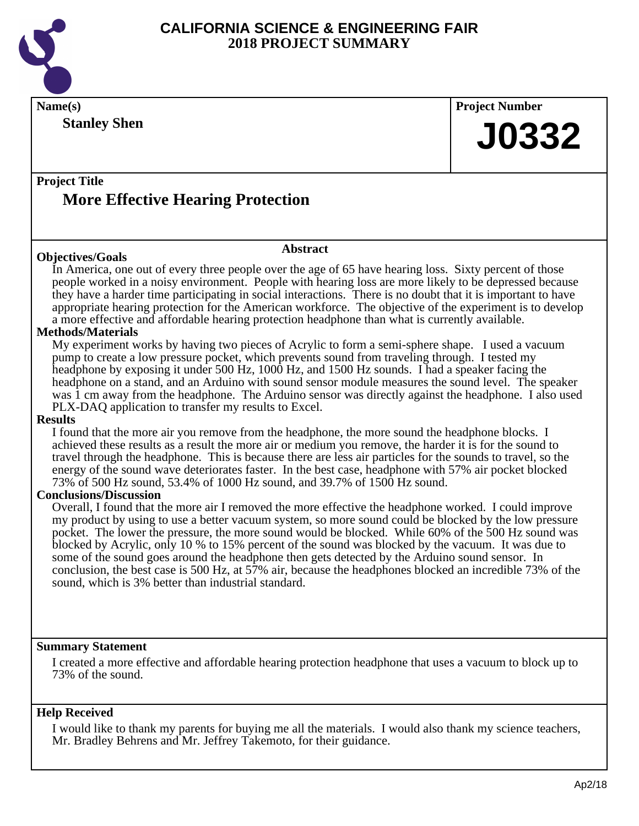

**Name(s) Project Number Project Title Abstract Stanley Shen More Effective Hearing Protection J0332 Objectives/Goals** In America, one out of every three people over the age of 65 have hearing loss. Sixty percent of those people worked in a noisy environment. People with hearing loss are more likely to be depressed because they have a harder time participating in social interactions. There is no doubt that it is important to have appropriate hearing protection for the American workforce. The objective of the experiment is to develop a more effective and affordable hearing protection headphone than what is currently available. **Methods/Materials** My experiment works by having two pieces of Acrylic to form a semi-sphere shape. I used a vacuum pump to create a low pressure pocket, which prevents sound from traveling through. I tested my headphone by exposing it under 500 Hz, 1000 Hz, and 1500 Hz sounds. I had a speaker facing the headphone on a stand, and an Arduino with sound sensor module measures the sound level. The speaker was 1 cm away from the headphone. The Arduino sensor was directly against the headphone. I also used PLX-DAQ application to transfer my results to Excel.

### **Results**

I found that the more air you remove from the headphone, the more sound the headphone blocks. I achieved these results as a result the more air or medium you remove, the harder it is for the sound to travel through the headphone. This is because there are less air particles for the sounds to travel, so the energy of the sound wave deteriorates faster. In the best case, headphone with 57% air pocket blocked 73% of 500 Hz sound, 53.4% of 1000 Hz sound, and 39.7% of 1500 Hz sound.

### **Conclusions/Discussion**

Overall, I found that the more air I removed the more effective the headphone worked. I could improve my product by using to use a better vacuum system, so more sound could be blocked by the low pressure pocket. The lower the pressure, the more sound would be blocked. While 60% of the 500 Hz sound was blocked by Acrylic, only 10 % to 15% percent of the sound was blocked by the vacuum. It was due to some of the sound goes around the headphone then gets detected by the Arduino sound sensor. In conclusion, the best case is 500 Hz, at 57% air, because the headphones blocked an incredible 73% of the sound, which is 3% better than industrial standard.

### **Summary Statement**

I created a more effective and affordable hearing protection headphone that uses a vacuum to block up to 73% of the sound.

### **Help Received**

I would like to thank my parents for buying me all the materials. I would also thank my science teachers, Mr. Bradley Behrens and Mr. Jeffrey Takemoto, for their guidance.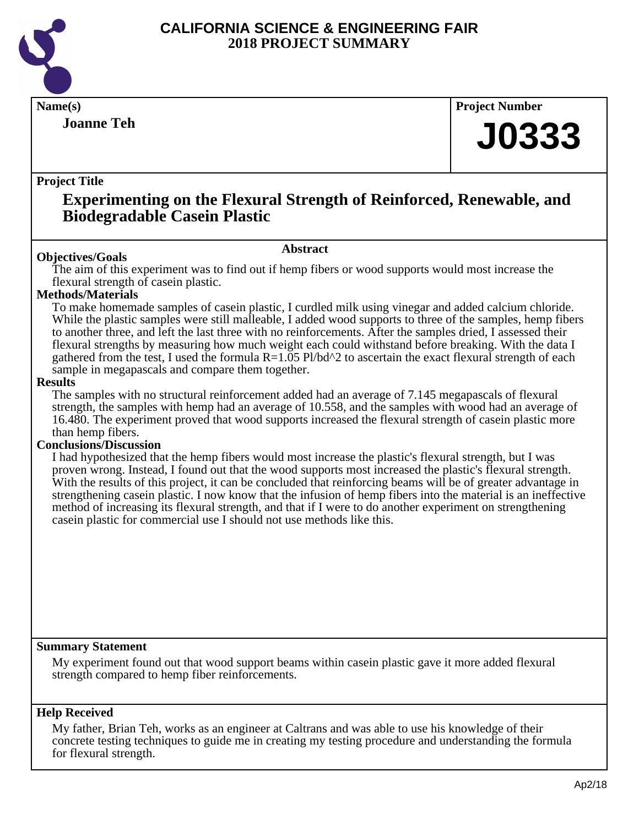

**Joanne Teh**

**Name(s) Project Number**

# **J0333**

### **Project Title**

# **Experimenting on the Flexural Strength of Reinforced, Renewable, and Biodegradable Casein Plastic**

### **Abstract**

**Objectives/Goals** The aim of this experiment was to find out if hemp fibers or wood supports would most increase the flexural strength of casein plastic.

### **Methods/Materials**

To make homemade samples of casein plastic, I curdled milk using vinegar and added calcium chloride. While the plastic samples were still malleable, I added wood supports to three of the samples, hemp fibers to another three, and left the last three with no reinforcements. After the samples dried, I assessed their flexural strengths by measuring how much weight each could withstand before breaking. With the data I gathered from the test, I used the formula  $R=1.05$  Pl/bd^2 to ascertain the exact flexural strength of each sample in megapascals and compare them together.

### **Results**

The samples with no structural reinforcement added had an average of 7.145 megapascals of flexural strength, the samples with hemp had an average of 10.558, and the samples with wood had an average of 16.480. The experiment proved that wood supports increased the flexural strength of casein plastic more than hemp fibers.

### **Conclusions/Discussion**

I had hypothesized that the hemp fibers would most increase the plastic's flexural strength, but I was proven wrong. Instead, I found out that the wood supports most increased the plastic's flexural strength. With the results of this project, it can be concluded that reinforcing beams will be of greater advantage in strengthening casein plastic. I now know that the infusion of hemp fibers into the material is an ineffective method of increasing its flexural strength, and that if I were to do another experiment on strengthening casein plastic for commercial use I should not use methods like this.

### **Summary Statement**

My experiment found out that wood support beams within casein plastic gave it more added flexural strength compared to hemp fiber reinforcements.

### **Help Received**

My father, Brian Teh, works as an engineer at Caltrans and was able to use his knowledge of their concrete testing techniques to guide me in creating my testing procedure and understanding the formula for flexural strength.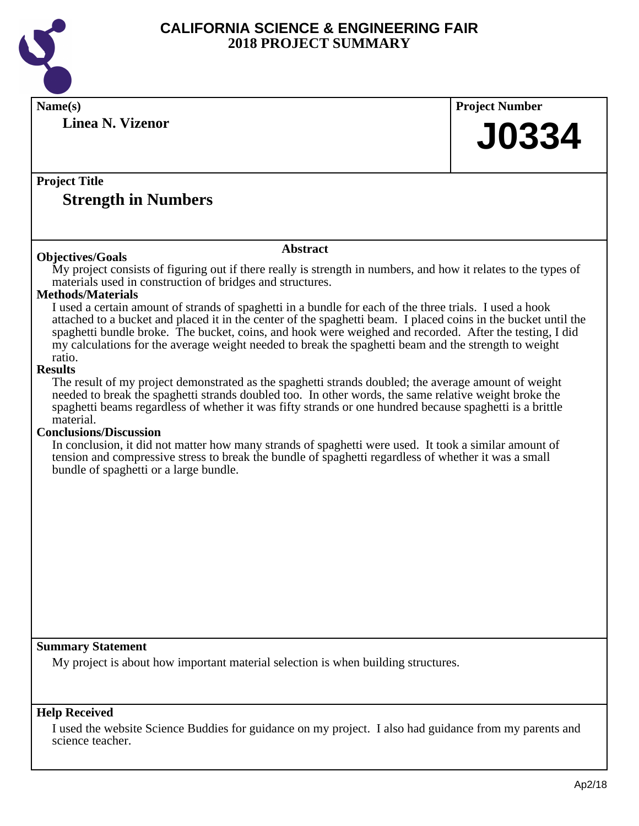

science teacher.

| Name(s)                                                                                                                                        | <b>Project Number</b> |
|------------------------------------------------------------------------------------------------------------------------------------------------|-----------------------|
| <b>Linea N. Vizenor</b>                                                                                                                        |                       |
|                                                                                                                                                | <b>J0334</b>          |
|                                                                                                                                                |                       |
| <b>Project Title</b>                                                                                                                           |                       |
| <b>Strength in Numbers</b>                                                                                                                     |                       |
|                                                                                                                                                |                       |
|                                                                                                                                                |                       |
| <b>Abstract</b><br><b>Objectives/Goals</b>                                                                                                     |                       |
| My project consists of figuring out if there really is strength in numbers, and how it relates to the types of                                 |                       |
| materials used in construction of bridges and structures.                                                                                      |                       |
| <b>Methods/Materials</b><br>I used a certain amount of strands of spaghetti in a bundle for each of the three trials. I used a hook            |                       |
| attached to a bucket and placed it in the center of the spaghetti beam. I placed coins in the bucket until the                                 |                       |
| spaghetti bundle broke. The bucket, coins, and hook were weighed and recorded. After the testing, I did                                        |                       |
| my calculations for the average weight needed to break the spaghetti beam and the strength to weight<br>ratio.                                 |                       |
| <b>Results</b>                                                                                                                                 |                       |
| The result of my project demonstrated as the spaghetti strands doubled; the average amount of weight                                           |                       |
| needed to break the spaghetti strands doubled too. In other words, the same relative weight broke the                                          |                       |
| spaghetti beams regardless of whether it was fifty strands or one hundred because spaghetti is a brittle<br>material.                          |                       |
| <b>Conclusions/Discussion</b>                                                                                                                  |                       |
| In conclusion, it did not matter how many strands of spaghetti were used. It took a similar amount of                                          |                       |
| tension and compressive stress to break the bundle of spaghetti regardless of whether it was a small<br>bundle of spaghetti or a large bundle. |                       |
|                                                                                                                                                |                       |
|                                                                                                                                                |                       |
|                                                                                                                                                |                       |
|                                                                                                                                                |                       |
|                                                                                                                                                |                       |
|                                                                                                                                                |                       |
|                                                                                                                                                |                       |
|                                                                                                                                                |                       |
|                                                                                                                                                |                       |
|                                                                                                                                                |                       |
| <b>Summary Statement</b>                                                                                                                       |                       |
| My project is about how important material selection is when building structures.                                                              |                       |
|                                                                                                                                                |                       |
|                                                                                                                                                |                       |
| <b>Help Received</b>                                                                                                                           |                       |
| I used the website Science Buddies for guidance on my project. I also had guidance from my parents and                                         |                       |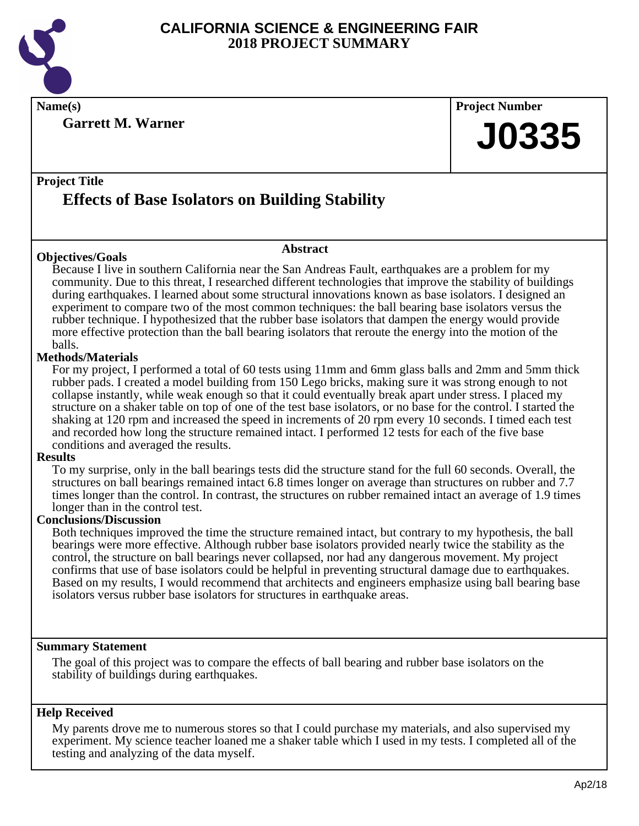

**Name(s) Project Number**

**Garrett M. Warner**

**J0335**

### **Project Title**

# **Effects of Base Isolators on Building Stability**

### **Objectives/Goals**

### **Abstract**

Because I live in southern California near the San Andreas Fault, earthquakes are a problem for my community. Due to this threat, I researched different technologies that improve the stability of buildings during earthquakes. I learned about some structural innovations known as base isolators. I designed an experiment to compare two of the most common techniques: the ball bearing base isolators versus the rubber technique. I hypothesized that the rubber base isolators that dampen the energy would provide more effective protection than the ball bearing isolators that reroute the energy into the motion of the balls.

### **Methods/Materials**

For my project, I performed a total of 60 tests using 11mm and 6mm glass balls and 2mm and 5mm thick rubber pads. I created a model building from 150 Lego bricks, making sure it was strong enough to not collapse instantly, while weak enough so that it could eventually break apart under stress. I placed my structure on a shaker table on top of one of the test base isolators, or no base for the control. I started the shaking at 120 rpm and increased the speed in increments of 20 rpm every 10 seconds. I timed each test and recorded how long the structure remained intact. I performed 12 tests for each of the five base conditions and averaged the results.

### **Results**

To my surprise, only in the ball bearings tests did the structure stand for the full 60 seconds. Overall, the structures on ball bearings remained intact 6.8 times longer on average than structures on rubber and 7.7 times longer than the control. In contrast, the structures on rubber remained intact an average of 1.9 times longer than in the control test.

### **Conclusions/Discussion**

Both techniques improved the time the structure remained intact, but contrary to my hypothesis, the ball bearings were more effective. Although rubber base isolators provided nearly twice the stability as the control, the structure on ball bearings never collapsed, nor had any dangerous movement. My project confirms that use of base isolators could be helpful in preventing structural damage due to earthquakes. Based on my results, I would recommend that architects and engineers emphasize using ball bearing base isolators versus rubber base isolators for structures in earthquake areas.

### **Summary Statement**

The goal of this project was to compare the effects of ball bearing and rubber base isolators on the stability of buildings during earthquakes.

### **Help Received**

My parents drove me to numerous stores so that I could purchase my materials, and also supervised my experiment. My science teacher loaned me a shaker table which I used in my tests. I completed all of the testing and analyzing of the data myself.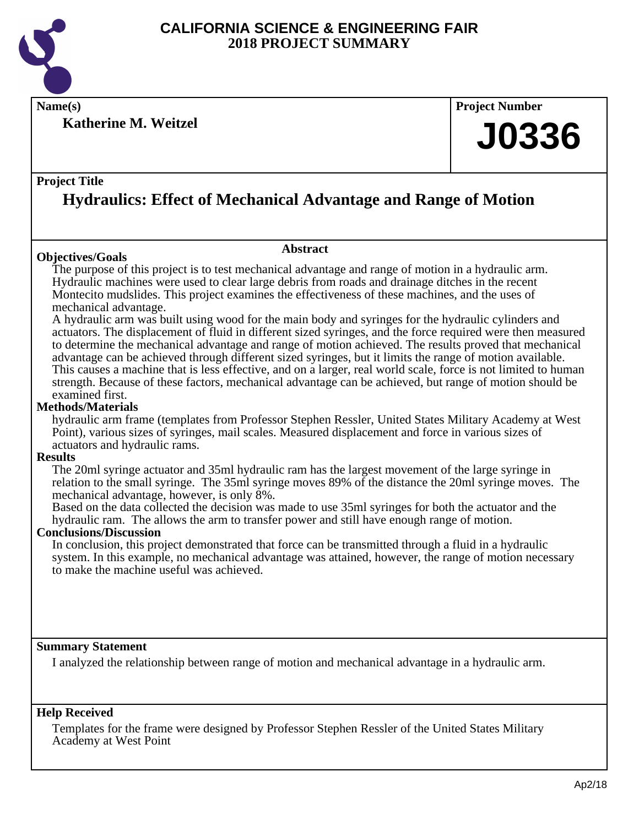

**Name(s) Project Number**

**Katherine M. Weitzel**

### **Project Title**

# **Hydraulics: Effect of Mechanical Advantage and Range of Motion**

### **Objectives/Goals**

### **Abstract**

The purpose of this project is to test mechanical advantage and range of motion in a hydraulic arm. Hydraulic machines were used to clear large debris from roads and drainage ditches in the recent Montecito mudslides. This project examines the effectiveness of these machines, and the uses of mechanical advantage.

 A hydraulic arm was built using wood for the main body and syringes for the hydraulic cylinders and actuators. The displacement of fluid in different sized syringes, and the force required were then measured to determine the mechanical advantage and range of motion achieved. The results proved that mechanical advantage can be achieved through different sized syringes, but it limits the range of motion available. This causes a machine that is less effective, and on a larger, real world scale, force is not limited to human strength. Because of these factors, mechanical advantage can be achieved, but range of motion should be examined first.

### **Methods/Materials**

hydraulic arm frame (templates from Professor Stephen Ressler, United States Military Academy at West Point), various sizes of syringes, mail scales. Measured displacement and force in various sizes of actuators and hydraulic rams.

### **Results**

The 20ml syringe actuator and 35ml hydraulic ram has the largest movement of the large syringe in relation to the small syringe. The 35ml syringe moves 89% of the distance the 20ml syringe moves. The mechanical advantage, however, is only 8%.

Based on the data collected the decision was made to use 35ml syringes for both the actuator and the hydraulic ram. The allows the arm to transfer power and still have enough range of motion.

### **Conclusions/Discussion**

In conclusion, this project demonstrated that force can be transmitted through a fluid in a hydraulic system. In this example, no mechanical advantage was attained, however, the range of motion necessary to make the machine useful was achieved.

### **Summary Statement**

I analyzed the relationship between range of motion and mechanical advantage in a hydraulic arm.

### **Help Received**

Templates for the frame were designed by Professor Stephen Ressler of the United States Military Academy at West Point

**J0336**